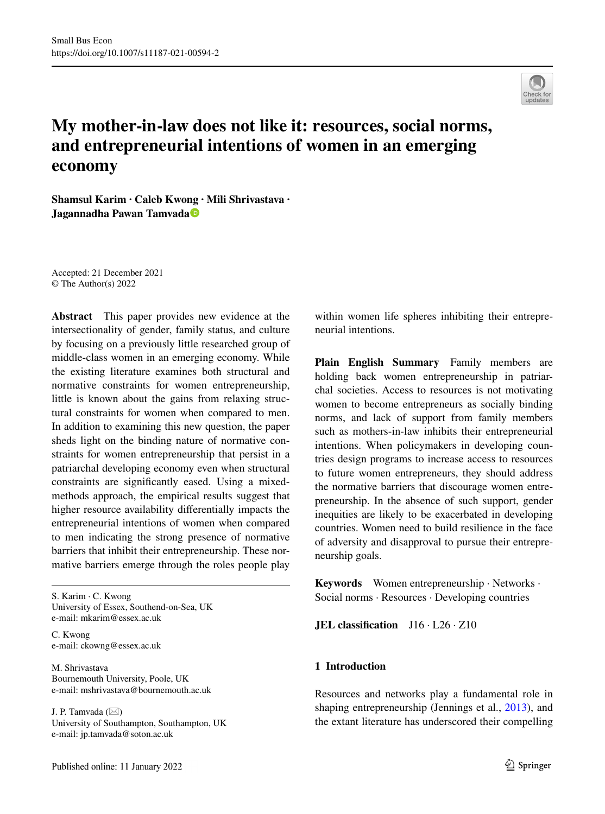

# **My mother-in-law does not like it: resources, social norms, and entrepreneurial intentions of women in an emerging economy**

**Shamsul Karim · Caleb Kwo[ng](http://orcid.org/0000-0002-1225-3174) · Mili Shrivastava · Jagannadha Pawan Tamvada**

Accepted: 21 December 2021 © The Author(s) 2022

**Abstract** This paper provides new evidence at the intersectionality of gender, family status, and culture by focusing on a previously little researched group of middle-class women in an emerging economy. While the existing literature examines both structural and normative constraints for women entrepreneurship, little is known about the gains from relaxing structural constraints for women when compared to men. In addition to examining this new question, the paper sheds light on the binding nature of normative constraints for women entrepreneurship that persist in a patriarchal developing economy even when structural constraints are signifcantly eased. Using a mixedmethods approach, the empirical results suggest that higher resource availability diferentially impacts the entrepreneurial intentions of women when compared to men indicating the strong presence of normative barriers that inhibit their entrepreneurship. These normative barriers emerge through the roles people play

S. Karim · C. Kwong University of Essex, Southend-on-Sea, UK e-mail: mkarim@essex.ac.uk

C. Kwong e-mail: ckowng@essex.ac.uk

M. Shrivastava Bournemouth University, Poole, UK e-mail: mshrivastava@bournemouth.ac.uk

J. P. Tamvada  $(\boxtimes)$ University of Southampton, Southampton, UK e-mail: jp.tamvada@soton.ac.uk

within women life spheres inhibiting their entrepreneurial intentions.

**Plain English Summary** Family members are holding back women entrepreneurship in patriarchal societies. Access to resources is not motivating women to become entrepreneurs as socially binding norms, and lack of support from family members such as mothers-in-law inhibits their entrepreneurial intentions. When policymakers in developing countries design programs to increase access to resources to future women entrepreneurs, they should address the normative barriers that discourage women entrepreneurship. In the absence of such support, gender inequities are likely to be exacerbated in developing countries. Women need to build resilience in the face of adversity and disapproval to pursue their entrepreneurship goals.

**Keywords** Women entrepreneurship · Networks · Social norms · Resources · Developing countries

**JEL classification** J16 · L26 · Z10

# **1 Introduction**

Resources and networks play a fundamental role in shaping entrepreneurship (Jennings et al., [2013\)](#page-21-0), and the extant literature has underscored their compelling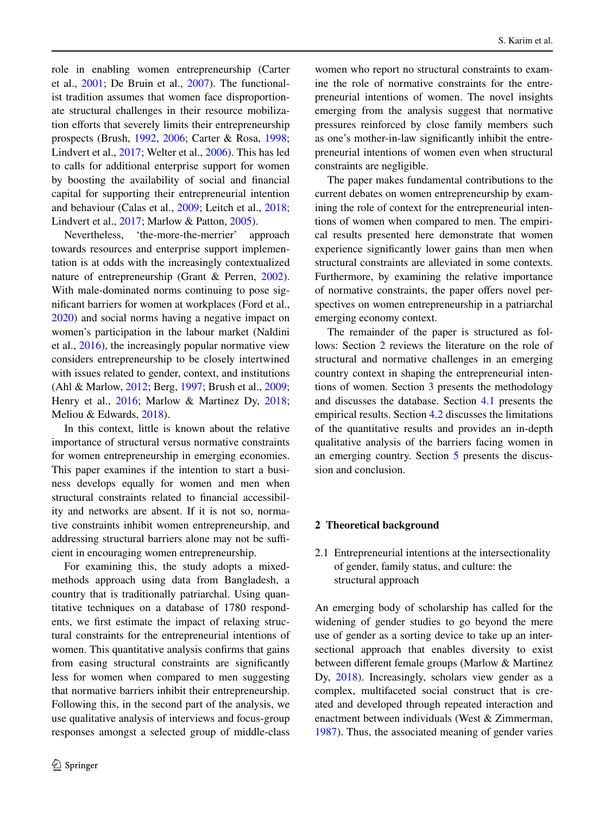role in enabling women entrepreneurship (Carter et al., [2001;](#page-20-0) De Bruin et al., [2007](#page-20-1)). The functionalist tradition assumes that women face disproportionate structural challenges in their resource mobilization efforts that severely limits their entrepreneurship prospects (Brush, [1992](#page-19-0), [2006](#page-19-1); Carter & Rosa, [1998](#page-20-2); Lindvert et al., [2017;](#page-21-1) Welter et al., [2006\)](#page-22-0). This has led to calls for additional enterprise support for women by boosting the availability of social and fnancial capital for supporting their entrepreneurial intention and behaviour (Calas et al., [2009](#page-19-2); Leitch et al., [2018](#page-21-2); Lindvert et al., [2017](#page-21-1); Marlow & Patton, [2005\)](#page-21-3).

Nevertheless, 'the-more-the-merrier' approach towards resources and enterprise support implementation is at odds with the increasingly contextualized nature of entrepreneurship (Grant & Perren, [2002](#page-20-3)). With male-dominated norms continuing to pose signifcant barriers for women at workplaces (Ford et al., [2020\)](#page-20-4) and social norms having a negative impact on women's participation in the labour market (Naldini et al., [2016\)](#page-21-4), the increasingly popular normative view considers entrepreneurship to be closely intertwined with issues related to gender, context, and institutions (Ahl & Marlow, [2012;](#page-19-3) Berg, [1997](#page-19-4); Brush et al., [2009](#page-19-5); Henry et al., [2016;](#page-20-5) Marlow & Martinez Dy, [2018](#page-21-5); Meliou & Edwards, [2018](#page-21-6)).

In this context, little is known about the relative importance of structural versus normative constraints for women entrepreneurship in emerging economies. This paper examines if the intention to start a business develops equally for women and men when structural constraints related to fnancial accessibility and networks are absent. If it is not so, normative constraints inhibit women entrepreneurship, and addressing structural barriers alone may not be sufficient in encouraging women entrepreneurship.

For examining this, the study adopts a mixedmethods approach using data from Bangladesh, a country that is traditionally patriarchal. Using quantitative techniques on a database of 1780 respondents, we frst estimate the impact of relaxing structural constraints for the entrepreneurial intentions of women. This quantitative analysis confrms that gains from easing structural constraints are signifcantly less for women when compared to men suggesting that normative barriers inhibit their entrepreneurship. Following this, in the second part of the analysis, we use qualitative analysis of interviews and focus-group responses amongst a selected group of middle-class

women who report no structural constraints to examine the role of normative constraints for the entrepreneurial intentions of women. The novel insights emerging from the analysis suggest that normative pressures reinforced by close family members such as one's mother-in-law signifcantly inhibit the entrepreneurial intentions of women even when structural constraints are negligible.

The paper makes fundamental contributions to the current debates on women entrepreneurship by examining the role of context for the entrepreneurial intentions of women when compared to men. The empirical results presented here demonstrate that women experience signifcantly lower gains than men when structural constraints are alleviated in some contexts. Furthermore, by examining the relative importance of normative constraints, the paper offers novel perspectives on women entrepreneurship in a patriarchal emerging economy context.

The remainder of the paper is structured as fol-lows: Section [2](#page-1-0) reviews the literature on the role of structural and normative challenges in an emerging country context in shaping the entrepreneurial intentions of women. Section [3](#page-4-0) presents the methodology and discusses the database. Section [4.1](#page-5-0)  presents the empirical results. Section [4.2](#page-10-0) discusses the limitations of the quantitative results and provides an in-depth qualitative analysis of the barriers facing women in an emerging country. Section [5](#page-15-0) presents the discussion and conclusion.

# <span id="page-1-0"></span>**2 Theoretical background**

2.1 Entrepreneurial intentions at the intersectionality of gender, family status, and culture: the structural approach

An emerging body of scholarship has called for the widening of gender studies to go beyond the mere use of gender as a sorting device to take up an intersectional approach that enables diversity to exist between diferent female groups (Marlow & Martinez Dy, [2018\)](#page-21-5). Increasingly, scholars view gender as a complex, multifaceted social construct that is created and developed through repeated interaction and enactment between individuals (West & Zimmerman, [1987\)](#page-22-1). Thus, the associated meaning of gender varies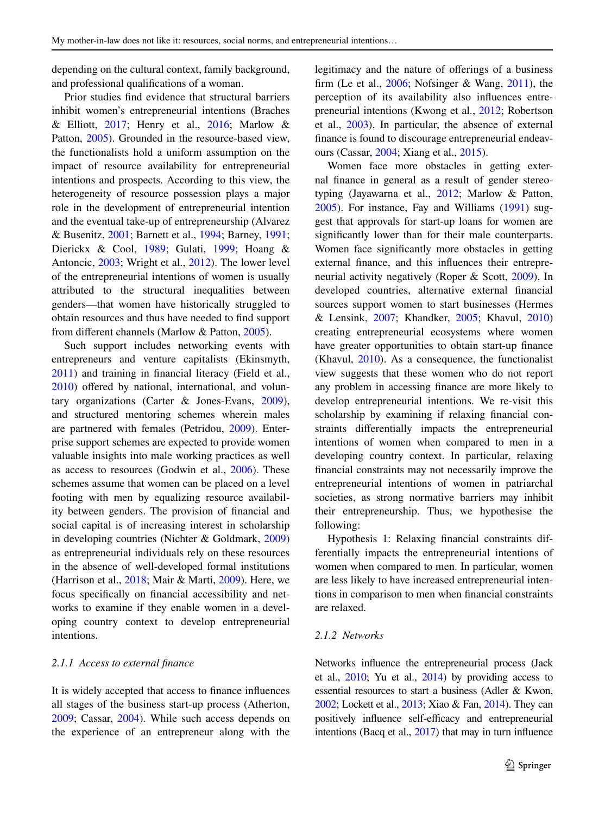depending on the cultural context, family background, and professional qualifcations of a woman.

Prior studies fnd evidence that structural barriers inhibit women's entrepreneurial intentions (Braches & Elliott,  $2017$ ; Henry et al.,  $2016$ ; Marlow & Patton, [2005](#page-21-3)). Grounded in the resource-based view, the functionalists hold a uniform assumption on the impact of resource availability for entrepreneurial intentions and prospects. According to this view, the heterogeneity of resource possession plays a major role in the development of entrepreneurial intention and the eventual take-up of entrepreneurship (Alvarez & Busenitz, [2001;](#page-19-7) Barnett et al., [1994](#page-19-8); Barney, [1991](#page-19-9); Dierickx & Cool, [1989](#page-20-6); Gulati, [1999;](#page-20-7) Hoang & Antoncic, [2003;](#page-21-7) Wright et al., [2012\)](#page-22-2). The lower level of the entrepreneurial intentions of women is usually attributed to the structural inequalities between genders—that women have historically struggled to obtain resources and thus have needed to fnd support from diferent channels (Marlow & Patton, [2005](#page-21-3)).

Such support includes networking events with entrepreneurs and venture capitalists (Ekinsmyth, [2011\)](#page-20-8) and training in fnancial literacy (Field et al., [2010\)](#page-20-9) offered by national, international, and voluntary organizations (Carter & Jones-Evans, [2009](#page-20-10)), and structured mentoring schemes wherein males are partnered with females (Petridou, [2009](#page-22-3)). Enterprise support schemes are expected to provide women valuable insights into male working practices as well as access to resources (Godwin et al., [2006\)](#page-20-11). These schemes assume that women can be placed on a level footing with men by equalizing resource availability between genders. The provision of fnancial and social capital is of increasing interest in scholarship in developing countries (Nichter & Goldmark, [2009\)](#page-21-8) as entrepreneurial individuals rely on these resources in the absence of well-developed formal institutions (Harrison et al., [2018;](#page-20-12) Mair & Marti, [2009\)](#page-21-9). Here, we focus specifcally on fnancial accessibility and networks to examine if they enable women in a developing country context to develop entrepreneurial intentions.

#### *2.1.1 Access to external fnance*

It is widely accepted that access to fnance infuences all stages of the business start-up process (Atherton, [2009;](#page-19-10) Cassar, [2004](#page-19-11)). While such access depends on the experience of an entrepreneur along with the legitimacy and the nature of oferings of a business firm (Le et al.,  $2006$ ; Nofsinger & Wang,  $2011$ ), the perception of its availability also infuences entrepreneurial intentions (Kwong et al., [2012](#page-21-11); Robertson et al., [2003](#page-22-5)). In particular, the absence of external fnance is found to discourage entrepreneurial endeavours (Cassar, [2004](#page-19-11); Xiang et al., [2015\)](#page-22-6).

Women face more obstacles in getting external fnance in general as a result of gender stereotyping (Jayawarna et al., [2012](#page-21-12); Marlow & Patton, [2005\)](#page-21-3). For instance, Fay and Williams [\(1991](#page-20-13)) suggest that approvals for start-up loans for women are signifcantly lower than for their male counterparts. Women face signifcantly more obstacles in getting external fnance, and this infuences their entrepreneurial activity negatively (Roper & Scott, [2009\)](#page-22-7). In developed countries, alternative external fnancial sources support women to start businesses (Hermes & Lensink, [2007;](#page-20-14) Khandker, [2005](#page-21-13); Khavul, [2010](#page-21-14)) creating entrepreneurial ecosystems where women have greater opportunities to obtain start-up fnance (Khavul, [2010\)](#page-21-14). As a consequence, the functionalist view suggests that these women who do not report any problem in accessing fnance are more likely to develop entrepreneurial intentions. We re-visit this scholarship by examining if relaxing fnancial constraints diferentially impacts the entrepreneurial intentions of women when compared to men in a developing country context. In particular, relaxing fnancial constraints may not necessarily improve the entrepreneurial intentions of women in patriarchal societies, as strong normative barriers may inhibit their entrepreneurship. Thus, we hypothesise the following:

Hypothesis 1: Relaxing fnancial constraints differentially impacts the entrepreneurial intentions of women when compared to men. In particular, women are less likely to have increased entrepreneurial intentions in comparison to men when fnancial constraints are relaxed.

## *2.1.2 Networks*

Networks infuence the entrepreneurial process (Jack et al.,  $2010$ ; Yu et al.,  $2014$ ) by providing access to essential resources to start a business (Adler & Kwon, [2002](#page-18-0); Lockett et al., [2013;](#page-21-16) Xiao & Fan, [2014](#page-22-9)). They can positively influence self-efficacy and entrepreneurial intentions (Bacq et al., [2017](#page-19-12)) that may in turn infuence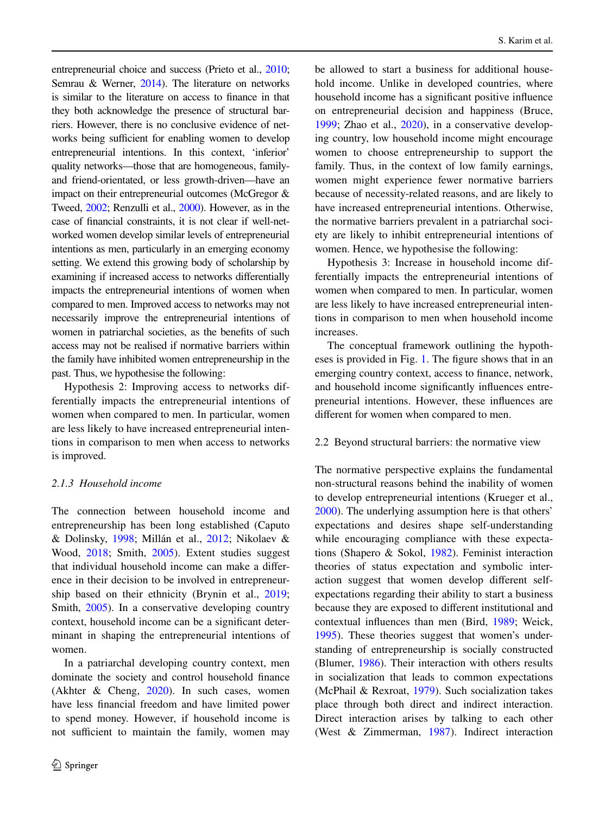entrepreneurial choice and success (Prieto et al., [2010](#page-22-10); Semrau & Werner, [2014](#page-22-11)). The literature on networks is similar to the literature on access to fnance in that they both acknowledge the presence of structural barriers. However, there is no conclusive evidence of networks being sufficient for enabling women to develop entrepreneurial intentions. In this context, 'inferior' quality networks—those that are homogeneous, familyand friend-orientated, or less growth-driven—have an impact on their entrepreneurial outcomes (McGregor & Tweed, [2002;](#page-21-17) Renzulli et al., [2000](#page-22-12)). However, as in the case of fnancial constraints, it is not clear if well-networked women develop similar levels of entrepreneurial intentions as men, particularly in an emerging economy setting. We extend this growing body of scholarship by examining if increased access to networks diferentially impacts the entrepreneurial intentions of women when compared to men. Improved access to networks may not necessarily improve the entrepreneurial intentions of women in patriarchal societies, as the benefts of such access may not be realised if normative barriers within the family have inhibited women entrepreneurship in the past. Thus, we hypothesise the following:

Hypothesis 2: Improving access to networks differentially impacts the entrepreneurial intentions of women when compared to men. In particular, women are less likely to have increased entrepreneurial intentions in comparison to men when access to networks is improved.

# *2.1.3 Household income*

The connection between household income and entrepreneurship has been long established (Caputo & Dolinsky, [1998;](#page-19-13) Millán et al., [2012](#page-21-18); Nikolaev & Wood, [2018](#page-21-19); Smith, [2005\)](#page-22-13). Extent studies suggest that individual household income can make a diference in their decision to be involved in entrepreneurship based on their ethnicity (Brynin et al., [2019](#page-19-14); Smith, [2005](#page-22-13)). In a conservative developing country context, household income can be a signifcant determinant in shaping the entrepreneurial intentions of women.

In a patriarchal developing country context, men dominate the society and control household fnance (Akhter & Cheng, [2020\)](#page-19-15). In such cases, women have less fnancial freedom and have limited power to spend money. However, if household income is not sufficient to maintain the family, women may

be allowed to start a business for additional household income. Unlike in developed countries, where household income has a signifcant positive infuence on entrepreneurial decision and happiness (Bruce, [1999;](#page-19-16) Zhao et al., [2020](#page-22-14)), in a conservative developing country, low household income might encourage women to choose entrepreneurship to support the family. Thus, in the context of low family earnings, women might experience fewer normative barriers because of necessity-related reasons, and are likely to have increased entrepreneurial intentions. Otherwise, the normative barriers prevalent in a patriarchal society are likely to inhibit entrepreneurial intentions of women. Hence, we hypothesise the following:

Hypothesis 3: Increase in household income differentially impacts the entrepreneurial intentions of women when compared to men. In particular, women are less likely to have increased entrepreneurial intentions in comparison to men when household income increases.

The conceptual framework outlining the hypotheses is provided in Fig. [1.](#page-4-1) The fgure shows that in an emerging country context, access to fnance, network, and household income signifcantly infuences entrepreneurial intentions. However, these infuences are diferent for women when compared to men.

### 2.2 Beyond structural barriers: the normative view

The normative perspective explains the fundamental non-structural reasons behind the inability of women to develop entrepreneurial intentions (Krueger et al., [2000\)](#page-21-20). The underlying assumption here is that others' expectations and desires shape self-understanding while encouraging compliance with these expectations (Shapero & Sokol, [1982](#page-22-15)). Feminist interaction theories of status expectation and symbolic interaction suggest that women develop diferent selfexpectations regarding their ability to start a business because they are exposed to diferent institutional and contextual infuences than men (Bird, [1989;](#page-19-17) Weick, [1995\)](#page-22-16). These theories suggest that women's understanding of entrepreneurship is socially constructed (Blumer, [1986\)](#page-19-18). Their interaction with others results in socialization that leads to common expectations (McPhail & Rexroat, [1979\)](#page-21-21). Such socialization takes place through both direct and indirect interaction. Direct interaction arises by talking to each other (West & Zimmerman, [1987\)](#page-22-1). Indirect interaction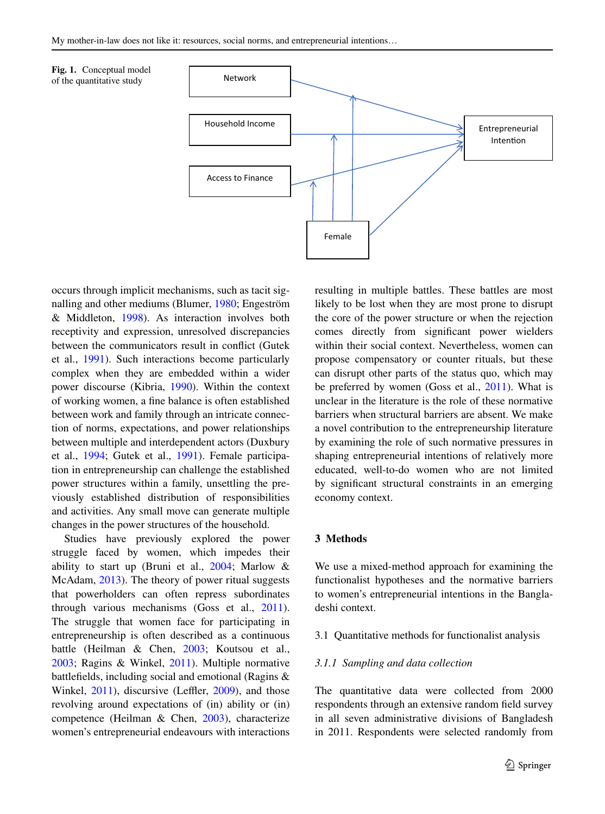<span id="page-4-1"></span>



occurs through implicit mechanisms, such as tacit signalling and other mediums (Blumer, [1980;](#page-19-19) Engeström & Middleton, [1998\)](#page-20-15). As interaction involves both receptivity and expression, unresolved discrepancies between the communicators result in confict (Gutek et al., [1991\)](#page-20-16). Such interactions become particularly complex when they are embedded within a wider power discourse (Kibria, [1990\)](#page-21-22). Within the context of working women, a fne balance is often established between work and family through an intricate connection of norms, expectations, and power relationships between multiple and interdependent actors (Duxbury et al., [1994](#page-20-17); Gutek et al., [1991](#page-20-16)). Female participation in entrepreneurship can challenge the established power structures within a family, unsettling the previously established distribution of responsibilities and activities. Any small move can generate multiple changes in the power structures of the household.

Studies have previously explored the power struggle faced by women, which impedes their ability to start up (Bruni et al.,  $2004$ ; Marlow & McAdam, [2013\)](#page-21-23). The theory of power ritual suggests that powerholders can often repress subordinates through various mechanisms (Goss et al., [2011](#page-20-18)). The struggle that women face for participating in entrepreneurship is often described as a continuous battle (Heilman & Chen, [2003;](#page-20-19) Koutsou et al., [2003;](#page-21-24) Ragins & Winkel, [2011](#page-22-17)). Multiple normative battlefields, including social and emotional (Ragins & Winkel,  $2011$ ), discursive (Leffler,  $2009$ ), and those revolving around expectations of (in) ability or (in) competence (Heilman & Chen, [2003](#page-20-19)), characterize women's entrepreneurial endeavours with interactions resulting in multiple battles. These battles are most likely to be lost when they are most prone to disrupt the core of the power structure or when the rejection comes directly from signifcant power wielders within their social context. Nevertheless, women can propose compensatory or counter rituals, but these can disrupt other parts of the status quo, which may be preferred by women (Goss et al., [2011\)](#page-20-18). What is unclear in the literature is the role of these normative barriers when structural barriers are absent. We make a novel contribution to the entrepreneurship literature by examining the role of such normative pressures in shaping entrepreneurial intentions of relatively more educated, well-to-do women who are not limited by signifcant structural constraints in an emerging economy context.

## <span id="page-4-0"></span>**3 Methods**

We use a mixed-method approach for examining the functionalist hypotheses and the normative barriers to women's entrepreneurial intentions in the Bangladeshi context.

#### 3.1 Quantitative methods for functionalist analysis

# *3.1.1 Sampling and data collection*

The quantitative data were collected from 2000 respondents through an extensive random feld survey in all seven administrative divisions of Bangladesh in 2011. Respondents were selected randomly from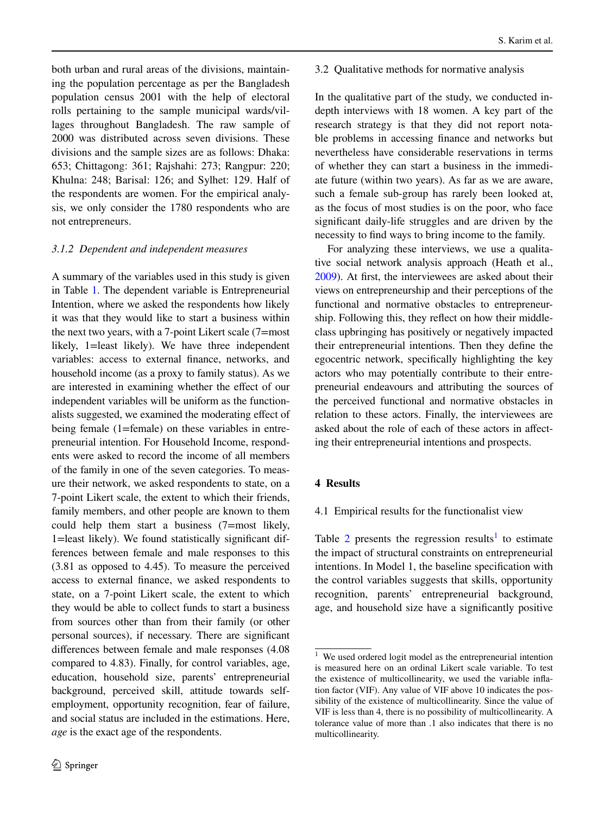both urban and rural areas of the divisions, maintaining the population percentage as per the Bangladesh population census 2001 with the help of electoral rolls pertaining to the sample municipal wards/villages throughout Bangladesh. The raw sample of 2000 was distributed across seven divisions. These divisions and the sample sizes are as follows: Dhaka: 653; Chittagong: 361; Rajshahi: 273; Rangpur: 220; Khulna: 248; Barisal: 126; and Sylhet: 129. Half of the respondents are women. For the empirical analysis, we only consider the 1780 respondents who are not entrepreneurs.

# *3.1.2 Dependent and independent measures*

A summary of the variables used in this study is given in Table [1.](#page-6-0) The dependent variable is Entrepreneurial Intention, where we asked the respondents how likely it was that they would like to start a business within the next two years, with a 7-point Likert scale (7=most likely, 1=least likely). We have three independent variables: access to external fnance, networks, and household income (as a proxy to family status). As we are interested in examining whether the efect of our independent variables will be uniform as the functionalists suggested, we examined the moderating efect of being female (1=female) on these variables in entrepreneurial intention. For Household Income, respondents were asked to record the income of all members of the family in one of the seven categories. To measure their network, we asked respondents to state, on a 7-point Likert scale, the extent to which their friends, family members, and other people are known to them could help them start a business (7=most likely, 1=least likely). We found statistically signifcant differences between female and male responses to this (3.81 as opposed to 4.45). To measure the perceived access to external fnance, we asked respondents to state, on a 7-point Likert scale, the extent to which they would be able to collect funds to start a business from sources other than from their family (or other personal sources), if necessary. There are signifcant diferences between female and male responses (4.08 compared to 4.83). Finally, for control variables, age, education, household size, parents' entrepreneurial background, perceived skill, attitude towards selfemployment, opportunity recognition, fear of failure, and social status are included in the estimations. Here, *age* is the exact age of the respondents.

# 3.2 Qualitative methods for normative analysis

In the qualitative part of the study, we conducted indepth interviews with 18 women. A key part of the research strategy is that they did not report notable problems in accessing fnance and networks but nevertheless have considerable reservations in terms of whether they can start a business in the immediate future (within two years). As far as we are aware, such a female sub-group has rarely been looked at, as the focus of most studies is on the poor, who face signifcant daily-life struggles and are driven by the necessity to fnd ways to bring income to the family.

For analyzing these interviews, we use a qualitative social network analysis approach (Heath et al., [2009\)](#page-20-20). At frst, the interviewees are asked about their views on entrepreneurship and their perceptions of the functional and normative obstacles to entrepreneurship. Following this, they refect on how their middleclass upbringing has positively or negatively impacted their entrepreneurial intentions. Then they defne the egocentric network, specifcally highlighting the key actors who may potentially contribute to their entrepreneurial endeavours and attributing the sources of the perceived functional and normative obstacles in relation to these actors. Finally, the interviewees are asked about the role of each of these actors in afecting their entrepreneurial intentions and prospects.

# **4 Results**

# <span id="page-5-0"></span>4.1 Empirical results for the functionalist view

Table [2](#page-8-0) presents the regression results<sup>[1](#page-5-1)</sup> to estimate the impact of structural constraints on entrepreneurial intentions. In Model 1, the baseline specifcation with the control variables suggests that skills, opportunity recognition, parents' entrepreneurial background, age, and household size have a signifcantly positive

<span id="page-5-1"></span><sup>&</sup>lt;sup>1</sup> We used ordered logit model as the entrepreneurial intention is measured here on an ordinal Likert scale variable. To test the existence of multicollinearity, we used the variable infation factor (VIF). Any value of VIF above 10 indicates the possibility of the existence of multicollinearity. Since the value of VIF is less than 4, there is no possibility of multicollinearity. A tolerance value of more than .1 also indicates that there is no multicollinearity.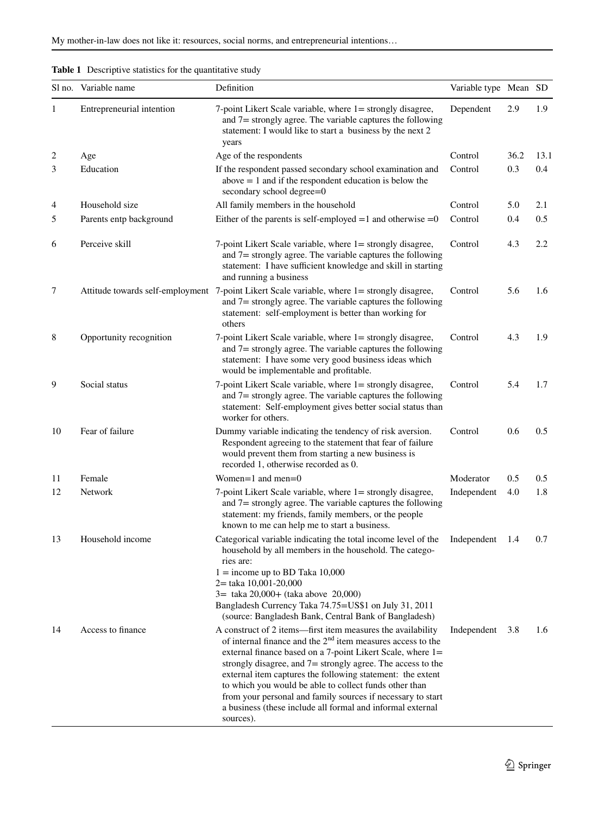<span id="page-6-0"></span>

| <b>Table 1</b> Descriptive statistics for the quantitative study |  |
|------------------------------------------------------------------|--|
|------------------------------------------------------------------|--|

|    | Sl no. Variable name      | Definition                                                                                                                                                                                                                                                                                                                                                                                                                                                                                                                     | Variable type Mean SD |      |      |
|----|---------------------------|--------------------------------------------------------------------------------------------------------------------------------------------------------------------------------------------------------------------------------------------------------------------------------------------------------------------------------------------------------------------------------------------------------------------------------------------------------------------------------------------------------------------------------|-----------------------|------|------|
| 1  | Entrepreneurial intention | 7-point Likert Scale variable, where 1 = strongly disagree,<br>and $7 =$ strongly agree. The variable captures the following<br>statement: I would like to start a business by the next 2<br>years                                                                                                                                                                                                                                                                                                                             | Dependent             | 2.9  | 1.9  |
| 2  | Age                       | Age of the respondents                                                                                                                                                                                                                                                                                                                                                                                                                                                                                                         | Control               | 36.2 | 13.1 |
| 3  | Education                 | If the respondent passed secondary school examination and<br>$above = 1$ and if the respondent education is below the<br>secondary school degree=0                                                                                                                                                                                                                                                                                                                                                                             | Control               | 0.3  | 0.4  |
| 4  | Household size            | All family members in the household                                                                                                                                                                                                                                                                                                                                                                                                                                                                                            | Control               | 5.0  | 2.1  |
| 5  | Parents entp background   | Either of the parents is self-employed $=1$ and otherwise $=0$                                                                                                                                                                                                                                                                                                                                                                                                                                                                 | Control               | 0.4  | 0.5  |
| 6  | Perceive skill            | 7-point Likert Scale variable, where 1 = strongly disagree,<br>and $7$ = strongly agree. The variable captures the following<br>statement: I have sufficient knowledge and skill in starting<br>and running a business                                                                                                                                                                                                                                                                                                         | Control               | 4.3  | 2.2  |
| 7  |                           | Attitude towards self-employment 7-point Likert Scale variable, where 1= strongly disagree,<br>and $7$ = strongly agree. The variable captures the following<br>statement: self-employment is better than working for<br>others                                                                                                                                                                                                                                                                                                | Control               | 5.6  | 1.6  |
| 8  | Opportunity recognition   | 7-point Likert Scale variable, where 1 = strongly disagree,<br>and $7$ = strongly agree. The variable captures the following<br>statement: I have some very good business ideas which<br>would be implementable and profitable.                                                                                                                                                                                                                                                                                                | Control               | 4.3  | 1.9  |
| 9  | Social status             | 7-point Likert Scale variable, where 1 = strongly disagree,<br>and $7$ = strongly agree. The variable captures the following<br>statement: Self-employment gives better social status than<br>worker for others.                                                                                                                                                                                                                                                                                                               | Control               | 5.4  | 1.7  |
| 10 | Fear of failure           | Dummy variable indicating the tendency of risk aversion.<br>Respondent agreeing to the statement that fear of failure<br>would prevent them from starting a new business is<br>recorded 1, otherwise recorded as 0.                                                                                                                                                                                                                                                                                                            | Control               | 0.6  | 0.5  |
| 11 | Female                    | Women= $1$ and men= $0$                                                                                                                                                                                                                                                                                                                                                                                                                                                                                                        | Moderator             | 0.5  | 0.5  |
| 12 | Network                   | 7-point Likert Scale variable, where 1 = strongly disagree,<br>and 7= strongly agree. The variable captures the following<br>statement: my friends, family members, or the people<br>known to me can help me to start a business.                                                                                                                                                                                                                                                                                              | Independent           | 4.0  | 1.8  |
| 13 | Household income          | Categorical variable indicating the total income level of the<br>household by all members in the household. The catego-<br>ries are:<br>$1 =$ income up to BD Taka 10,000<br>2= taka 10,001-20,000<br>$3 = \text{taka } 20,000 + (\text{taka above } 20,000)$<br>Bangladesh Currency Taka 74.75=US\$1 on July 31, 2011<br>(source: Bangladesh Bank, Central Bank of Bangladesh)                                                                                                                                                | Independent           | 1.4  | 0.7  |
| 14 | Access to finance         | A construct of 2 items—first item measures the availability<br>of internal finance and the $2nd$ item measures access to the<br>external finance based on a 7-point Likert Scale, where 1=<br>strongly disagree, and $7 =$ strongly agree. The access to the<br>external item captures the following statement: the extent<br>to which you would be able to collect funds other than<br>from your personal and family sources if necessary to start<br>a business (these include all formal and informal external<br>sources). | Independent           | 3.8  | 1.6  |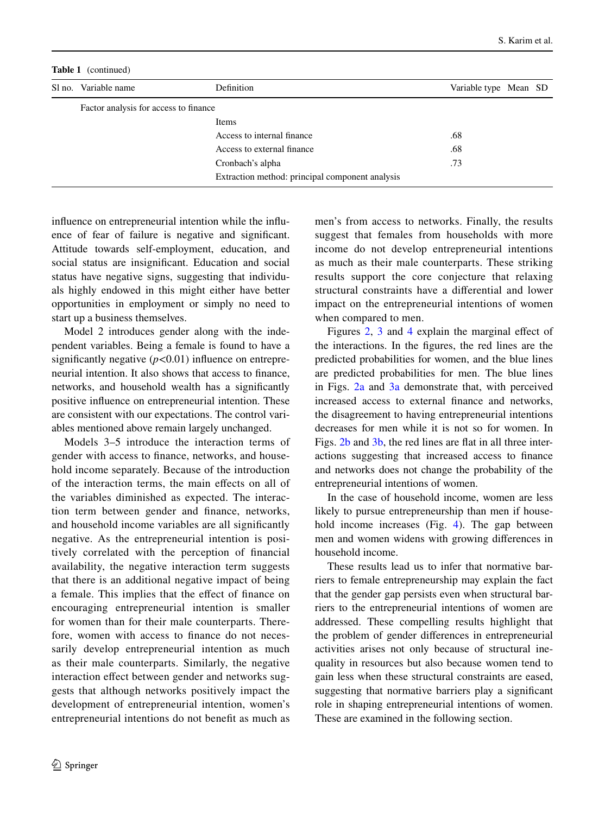**Table 1** (continued)

| Sl no. Variable name                  | <b>Definition</b>                               | Variable type Mean SD |  |
|---------------------------------------|-------------------------------------------------|-----------------------|--|
| Factor analysis for access to finance |                                                 |                       |  |
|                                       | Items                                           |                       |  |
|                                       | Access to internal finance                      | .68                   |  |
|                                       | Access to external finance                      | .68                   |  |
|                                       | Cronbach's alpha                                | .73                   |  |
|                                       | Extraction method: principal component analysis |                       |  |

infuence on entrepreneurial intention while the infuence of fear of failure is negative and signifcant. Attitude towards self-employment, education, and social status are insignifcant. Education and social status have negative signs, suggesting that individuals highly endowed in this might either have better opportunities in employment or simply no need to start up a business themselves.

Model 2 introduces gender along with the independent variables. Being a female is found to have a significantly negative  $(p<0.01)$  influence on entrepreneurial intention. It also shows that access to fnance, networks, and household wealth has a signifcantly positive infuence on entrepreneurial intention. These are consistent with our expectations. The control variables mentioned above remain largely unchanged.

Models 3–5 introduce the interaction terms of gender with access to fnance, networks, and household income separately. Because of the introduction of the interaction terms, the main efects on all of the variables diminished as expected. The interaction term between gender and fnance, networks, and household income variables are all signifcantly negative. As the entrepreneurial intention is positively correlated with the perception of fnancial availability, the negative interaction term suggests that there is an additional negative impact of being a female. This implies that the efect of fnance on encouraging entrepreneurial intention is smaller for women than for their male counterparts. Therefore, women with access to fnance do not necessarily develop entrepreneurial intention as much as their male counterparts. Similarly, the negative interaction effect between gender and networks suggests that although networks positively impact the development of entrepreneurial intention, women's entrepreneurial intentions do not beneft as much as

men's from access to networks. Finally, the results suggest that females from households with more income do not develop entrepreneurial intentions as much as their male counterparts. These striking results support the core conjecture that relaxing structural constraints have a diferential and lower impact on the entrepreneurial intentions of women when compared to men.

Figures [2](#page-9-0), [3](#page-9-1) and [4](#page-10-1) explain the marginal effect of the interactions. In the fgures, the red lines are the predicted probabilities for women, and the blue lines are predicted probabilities for men. The blue lines in Figs. [2a](#page-9-0) and [3a](#page-9-1) demonstrate that, with perceived increased access to external fnance and networks, the disagreement to having entrepreneurial intentions decreases for men while it is not so for women. In Figs. [2b](#page-9-0) and [3b,](#page-9-1) the red lines are flat in all three interactions suggesting that increased access to fnance and networks does not change the probability of the entrepreneurial intentions of women.

In the case of household income, women are less likely to pursue entrepreneurship than men if house-hold income increases (Fig. [4\)](#page-10-1). The gap between men and women widens with growing diferences in household income.

These results lead us to infer that normative barriers to female entrepreneurship may explain the fact that the gender gap persists even when structural barriers to the entrepreneurial intentions of women are addressed. These compelling results highlight that the problem of gender diferences in entrepreneurial activities arises not only because of structural inequality in resources but also because women tend to gain less when these structural constraints are eased, suggesting that normative barriers play a signifcant role in shaping entrepreneurial intentions of women. These are examined in the following section.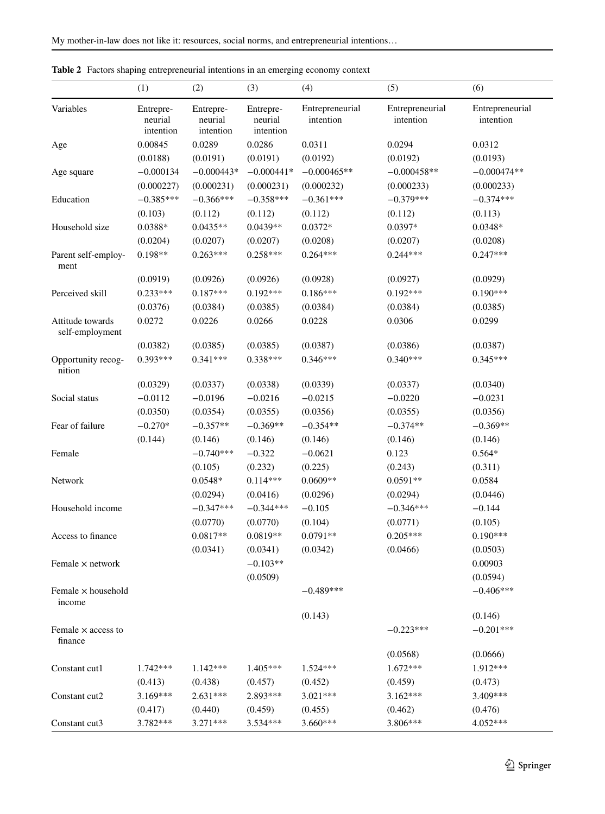|                                      | (1)                               | (2)                               | (3)                               | (4)                          | (5)                          | (6)                          |
|--------------------------------------|-----------------------------------|-----------------------------------|-----------------------------------|------------------------------|------------------------------|------------------------------|
| Variables                            | Entrepre-<br>neurial<br>intention | Entrepre-<br>neurial<br>intention | Entrepre-<br>neurial<br>intention | Entrepreneurial<br>intention | Entrepreneurial<br>intention | Entrepreneurial<br>intention |
| Age                                  | 0.00845                           | 0.0289                            | 0.0286                            | 0.0311                       | 0.0294                       | 0.0312                       |
|                                      | (0.0188)                          | (0.0191)                          | (0.0191)                          | (0.0192)                     | (0.0192)                     | (0.0193)                     |
| Age square                           | $-0.000134$                       | $-0.000443*$                      | $-0.000441*$                      | $-0.000465**$                | $-0.000458**$                | $-0.000474**$                |
|                                      | (0.000227)                        | (0.000231)                        | (0.000231)                        | (0.000232)                   | (0.000233)                   | (0.000233)                   |
| Education                            | $-0.385***$                       | $-0.366***$                       | $-0.358***$                       | $-0.361***$                  | $-0.379***$                  | $-0.374***$                  |
|                                      | (0.103)                           | (0.112)                           | (0.112)                           | (0.112)                      | (0.112)                      | (0.113)                      |
| Household size                       | $0.0388*$                         | $0.0435**$                        | $0.0439**$                        | $0.0372*$                    | 0.0397*                      | $0.0348*$                    |
|                                      | (0.0204)                          | (0.0207)                          | (0.0207)                          | (0.0208)                     | (0.0207)                     | (0.0208)                     |
| Parent self-employ-<br>ment          | $0.198**$                         | $0.263***$                        | $0.258***$                        | $0.264***$                   | $0.244***$                   | $0.247***$                   |
|                                      | (0.0919)                          | (0.0926)                          | (0.0926)                          | (0.0928)                     | (0.0927)                     | (0.0929)                     |
| Perceived skill                      | $0.233***$                        | $0.187***$                        | $0.192***$                        | $0.186***$                   | $0.192***$                   | $0.190***$                   |
|                                      | (0.0376)                          | (0.0384)                          | (0.0385)                          | (0.0384)                     | (0.0384)                     | (0.0385)                     |
| Attitude towards<br>self-employment  | 0.0272                            | 0.0226                            | 0.0266                            | 0.0228                       | 0.0306                       | 0.0299                       |
|                                      | (0.0382)                          | (0.0385)                          | (0.0385)                          | (0.0387)                     | (0.0386)                     | (0.0387)                     |
| Opportunity recog-<br>nition         | $0.393***$                        | $0.341***$                        | $0.338***$                        | $0.346***$                   | $0.340***$                   | $0.345***$                   |
|                                      | (0.0329)                          | (0.0337)                          | (0.0338)                          | (0.0339)                     | (0.0337)                     | (0.0340)                     |
| Social status                        | $-0.0112$                         | $-0.0196$                         | $-0.0216$                         | $-0.0215$                    | $-0.0220$                    | $-0.0231$                    |
|                                      | (0.0350)                          | (0.0354)                          | (0.0355)                          | (0.0356)                     | (0.0355)                     | (0.0356)                     |
| Fear of failure                      | $-0.270*$                         | $-0.357**$                        | $-0.369**$                        | $-0.354**$                   | $-0.374**$                   | $-0.369**$                   |
|                                      | (0.144)                           | (0.146)                           | (0.146)                           | (0.146)                      | (0.146)                      | (0.146)                      |
| Female                               |                                   | $-0.740***$                       | $-0.322$                          | $-0.0621$                    | 0.123                        | $0.564*$                     |
|                                      |                                   | (0.105)                           | (0.232)                           | (0.225)                      | (0.243)                      | (0.311)                      |
| Network                              |                                   | $0.0548*$                         | $0.114***$                        | $0.0609**$                   | $0.0591**$                   | 0.0584                       |
|                                      |                                   | (0.0294)                          | (0.0416)                          | (0.0296)                     | (0.0294)                     | (0.0446)                     |
| Household income                     |                                   | $-0.347***$                       | $-0.344***$                       | $-0.105$                     | $-0.346***$                  | $-0.144$                     |
|                                      |                                   | (0.0770)                          | (0.0770)                          | (0.104)                      | (0.0771)                     | (0.105)                      |
| Access to finance                    |                                   | $0.0817**$                        | 0.0819**                          | $0.0791**$                   | $0.205***$                   | $0.190***$                   |
|                                      |                                   | (0.0341)                          | (0.0341)                          | (0.0342)                     | (0.0466)                     | (0.0503)                     |
| Female $\times$ network              |                                   |                                   | $-0.103**$                        |                              |                              | 0.00903                      |
|                                      |                                   |                                   | (0.0509)                          |                              |                              | (0.0594)                     |
| Female x household<br>income         |                                   |                                   |                                   | $-0.489***$                  |                              | $-0.406***$                  |
|                                      |                                   |                                   |                                   | (0.143)                      |                              | (0.146)                      |
| Female $\times$ access to<br>finance |                                   |                                   |                                   |                              | $-0.223***$                  | $-0.201***$                  |
|                                      |                                   |                                   |                                   |                              | (0.0568)                     | (0.0666)                     |
| Constant cut1                        | $1.742***$                        | $1.142***$                        | 1.405***                          | 1.524***                     | $1.672***$                   | 1.912***                     |
|                                      | (0.413)                           | (0.438)                           | (0.457)                           | (0.452)                      | (0.459)                      | (0.473)                      |
| Constant cut2                        | 3.169***                          | $2.631***$                        | 2.893***                          | $3.021***$                   | $3.162***$                   | 3.409***                     |
|                                      | (0.417)                           | (0.440)                           | (0.459)                           | (0.455)                      | (0.462)                      | (0.476)                      |
| Constant cut3                        | 3.782***                          | 3.271***                          | 3.534***                          | 3.660***                     | 3.806***                     | 4.052***                     |

<span id="page-8-0"></span>**Table 2** Factors shaping entrepreneurial intentions in an emerging economy context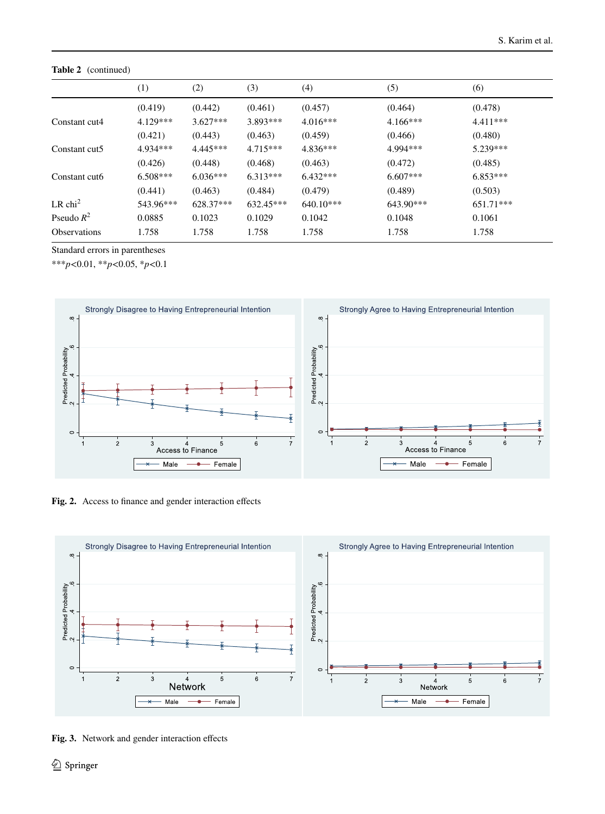**Table 2** (continued)

|                       | (1)        | (2)        | (3)         | (4)         | (5)         | (6)         |
|-----------------------|------------|------------|-------------|-------------|-------------|-------------|
|                       | (0.419)    | (0.442)    | (0.461)     | (0.457)     | (0.464)     | (0.478)     |
| Constant cut4         | $4.129***$ | $3.627***$ | 3.893***    | $4.016***$  | $4.166***$  | $4.411***$  |
|                       | (0.421)    | (0.443)    | (0.463)     | (0.459)     | (0.466)     | (0.480)     |
| Constant cut5         | 4.934***   | $4.445***$ | $4.715***$  | $4.836***$  | 4.994***    | $5.239***$  |
|                       | (0.426)    | (0.448)    | (0.468)     | (0.463)     | (0.472)     | (0.485)     |
| Constant cuto         | $6.508***$ | $6.036***$ | $6.313***$  | $6.432***$  | $6.607***$  | $6.853***$  |
|                       | (0.441)    | (0.463)    | (0.484)     | (0.479)     | (0.489)     | (0.503)     |
| $LR$ chi <sup>2</sup> | 543.96***  | 628.37***  | $632.45***$ | $640.10***$ | $643.90***$ | $651.71***$ |
| Pseudo $R^2$          | 0.0885     | 0.1023     | 0.1029      | 0.1042      | 0.1048      | 0.1061      |
| <b>Observations</b>   | 1.758      | 1.758      | 1.758       | 1.758       | 1.758       | 1.758       |

Standard errors in parentheses

\*\*\**p*<0.01, \*\**p*<0.05, \**p*<0.1



<span id="page-9-0"></span>Fig. 2. Access to finance and gender interaction effects



<span id="page-9-1"></span>**Fig. 3.** Network and gender interaction efects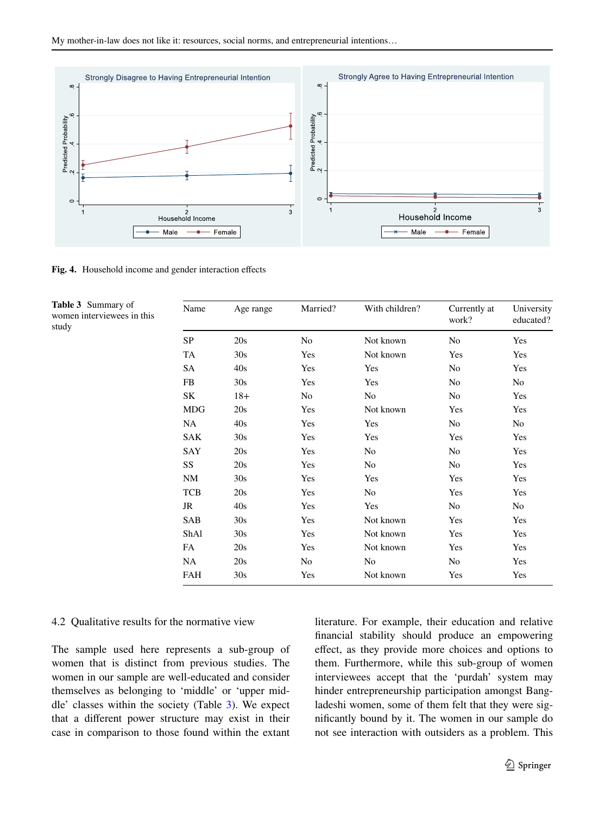

<span id="page-10-1"></span>**Fig. 4.** Household income and gender interaction efects

<span id="page-10-2"></span>**Table 3** Summary of women interviewees in this

study

| Name       | Age range | Married? | With children? | Currently at<br>work? | University<br>educated? |
|------------|-----------|----------|----------------|-----------------------|-------------------------|
| SP         | 20s       | No       | Not known      | No                    | Yes                     |
| TA         | 30s       | Yes      | Not known      | Yes                   | Yes                     |
| SA         | 40s       | Yes      | Yes            | No                    | Yes                     |
| FB         | 30s       | Yes      | Yes            | No                    | No                      |
| SK         | $18+$     | No       | No             | No                    | Yes                     |
| MDG        | 20s       | Yes      | Not known      | Yes                   | Yes                     |
| NA         | 40s       | Yes      | Yes            | No                    | No                      |
| <b>SAK</b> | 30s       | Yes      | Yes            | Yes                   | Yes                     |
| SAY        | 20s       | Yes      | No             | No                    | Yes                     |
| SS         | 20s       | Yes      | No             | No                    | Yes                     |
| NM         | 30s       | Yes      | Yes            | Yes                   | Yes                     |
| <b>TCB</b> | 20s       | Yes      | No             | Yes                   | Yes                     |
| JR         | 40s       | Yes      | Yes            | No                    | No                      |
| SAB        | 30s       | Yes      | Not known      | Yes                   | Yes                     |
| ShAl       | 30s       | Yes      | Not known      | Yes                   | Yes                     |
| FA         | 20s       | Yes      | Not known      | Yes                   | Yes                     |
| NA         | 20s       | No       | No             | No                    | Yes                     |
| FAH        | 30s       | Yes      | Not known      | Yes                   | Yes                     |

#### <span id="page-10-0"></span>4.2 Qualitative results for the normative view

The sample used here represents a sub-group of women that is distinct from previous studies. The women in our sample are well-educated and consider themselves as belonging to 'middle' or 'upper middle' classes within the society (Table  $3$ ). We expect that a diferent power structure may exist in their case in comparison to those found within the extant literature. For example, their education and relative fnancial stability should produce an empowering efect, as they provide more choices and options to them. Furthermore, while this sub-group of women interviewees accept that the 'purdah' system may hinder entrepreneurship participation amongst Bangladeshi women, some of them felt that they were signifcantly bound by it. The women in our sample do not see interaction with outsiders as a problem. This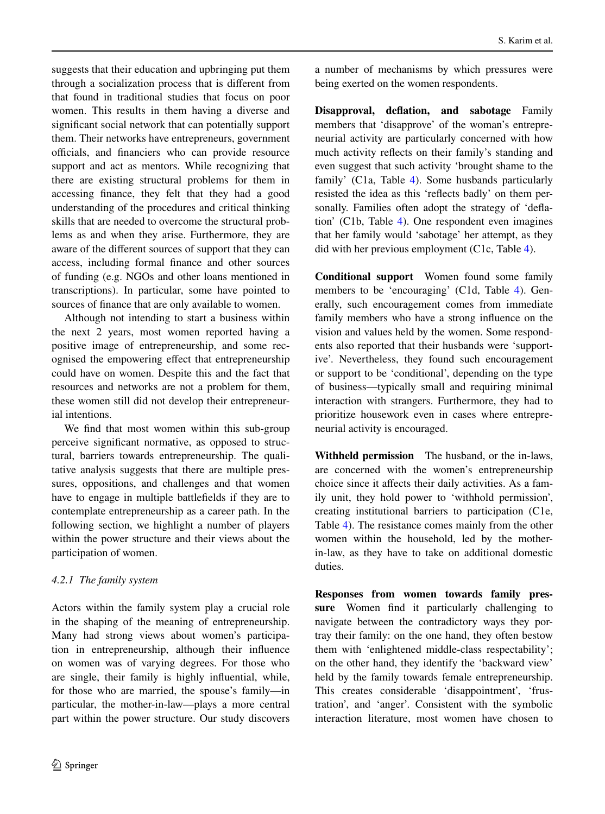suggests that their education and upbringing put them through a socialization process that is diferent from that found in traditional studies that focus on poor women. This results in them having a diverse and signifcant social network that can potentially support them. Their networks have entrepreneurs, government officials, and financiers who can provide resource support and act as mentors. While recognizing that there are existing structural problems for them in accessing fnance, they felt that they had a good understanding of the procedures and critical thinking skills that are needed to overcome the structural problems as and when they arise. Furthermore, they are aware of the diferent sources of support that they can access, including formal fnance and other sources of funding (e.g. NGOs and other loans mentioned in transcriptions). In particular, some have pointed to sources of fnance that are only available to women.

Although not intending to start a business within the next 2 years, most women reported having a positive image of entrepreneurship, and some recognised the empowering efect that entrepreneurship could have on women. Despite this and the fact that resources and networks are not a problem for them, these women still did not develop their entrepreneurial intentions.

We fnd that most women within this sub-group perceive signifcant normative, as opposed to structural, barriers towards entrepreneurship. The qualitative analysis suggests that there are multiple pressures, oppositions, and challenges and that women have to engage in multiple battlefelds if they are to contemplate entrepreneurship as a career path. In the following section, we highlight a number of players within the power structure and their views about the participation of women.

# *4.2.1 The family system*

Actors within the family system play a crucial role in the shaping of the meaning of entrepreneurship. Many had strong views about women's participation in entrepreneurship, although their infuence on women was of varying degrees. For those who are single, their family is highly infuential, while, for those who are married, the spouse's family—in particular, the mother-in-law—plays a more central part within the power structure. Our study discovers a number of mechanisms by which pressures were being exerted on the women respondents.

**Disapproval, defation, and sabotage** Family members that 'disapprove' of the woman's entrepreneurial activity are particularly concerned with how much activity refects on their family's standing and even suggest that such activity 'brought shame to the family' (C1a, Table [4\)](#page-12-0). Some husbands particularly resisted the idea as this 'refects badly' on them personally. Families often adopt the strategy of 'defation' (C1b, Table [4](#page-12-0)). One respondent even imagines that her family would 'sabotage' her attempt, as they did with her previous employment (C1c, Table [4](#page-12-0)).

**Conditional support** Women found some family members to be 'encouraging' (C1d, Table [4](#page-12-0)). Generally, such encouragement comes from immediate family members who have a strong infuence on the vision and values held by the women. Some respondents also reported that their husbands were 'supportive'. Nevertheless, they found such encouragement or support to be 'conditional', depending on the type of business—typically small and requiring minimal interaction with strangers. Furthermore, they had to prioritize housework even in cases where entrepreneurial activity is encouraged.

**Withheld permission** The husband, or the in-laws, are concerned with the women's entrepreneurship choice since it afects their daily activities. As a family unit, they hold power to 'withhold permission', creating institutional barriers to participation (C1e, Table [4](#page-12-0)). The resistance comes mainly from the other women within the household, led by the motherin-law, as they have to take on additional domestic duties.

**Responses from women towards family pressure** Women fnd it particularly challenging to navigate between the contradictory ways they portray their family: on the one hand, they often bestow them with 'enlightened middle-class respectability'; on the other hand, they identify the 'backward view' held by the family towards female entrepreneurship. This creates considerable 'disappointment', 'frustration', and 'anger'. Consistent with the symbolic interaction literature, most women have chosen to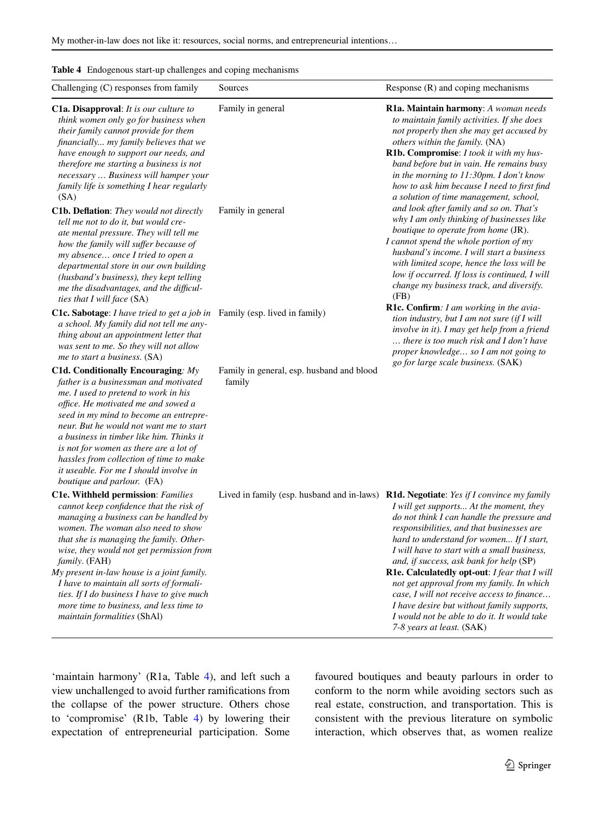<span id="page-12-0"></span>

| Table 4 Endogenous start-up challenges and coping mechanisms |
|--------------------------------------------------------------|
|                                                              |

| Challenging (C) responses from family                                                                                                                                                                                                                                                                                                                                                                                                                                                         | Sources                                             | Response $(R)$ and coping mechanisms                                                                                                                                                                                                                                                                                                                                                                                                                                                                                                                                                                                                     |
|-----------------------------------------------------------------------------------------------------------------------------------------------------------------------------------------------------------------------------------------------------------------------------------------------------------------------------------------------------------------------------------------------------------------------------------------------------------------------------------------------|-----------------------------------------------------|------------------------------------------------------------------------------------------------------------------------------------------------------------------------------------------------------------------------------------------------------------------------------------------------------------------------------------------------------------------------------------------------------------------------------------------------------------------------------------------------------------------------------------------------------------------------------------------------------------------------------------------|
| <b>C1a. Disapproval:</b> It is our culture to<br>think women only go for business when<br>their family cannot provide for them<br>financially my family believes that we<br>have enough to support our needs, and<br>therefore me starting a business is not<br>necessary  Business will hamper your<br>family life is something I hear regularly<br>(SA)                                                                                                                                     | Family in general                                   | R1a. Maintain harmony: A woman needs<br>to maintain family activities. If she does<br>not properly then she may get accused by<br>others within the family. (NA)<br>R1b. Compromise: I took it with my hus-<br>band before but in vain. He remains busy<br>in the morning to $11:30$ pm. I don't know<br>how to ask him because I need to first find<br>a solution of time management, school,                                                                                                                                                                                                                                           |
| C1b. Deflation: They would not directly<br>tell me not to do it, but would cre-<br>ate mental pressure. They will tell me<br>how the family will suffer because of<br>my absence once I tried to open a<br>departmental store in our own building<br>(husband's business), they kept telling<br>me the disadvantages, and the difficul-<br>ties that I will face (SA)                                                                                                                         | Family in general                                   | and look after family and so on. That's<br>why I am only thinking of businesses like<br>boutique to operate from home (JR).<br>I cannot spend the whole portion of my<br>husband's income. I will start a business<br>with limited scope, hence the loss will be<br>low if occurred. If loss is continued, I will<br>change my business track, and diversify.<br>(FB)                                                                                                                                                                                                                                                                    |
| <b>C1c. Sabotage</b> : I have tried to get a job in<br>a school. My family did not tell me any-<br>thing about an appointment letter that<br>was sent to me. So they will not allow<br>me to start a business. (SA)                                                                                                                                                                                                                                                                           | Family (esp. lived in family)                       | <b>R1c. Confirm</b> : I am working in the avia-<br>tion industry, but I am not sure $(i f I will$<br>involve in it). I may get help from a friend<br>there is too much risk and I don't have<br>proper knowledge so I am not going to                                                                                                                                                                                                                                                                                                                                                                                                    |
| C1d. Conditionally Encouraging: $My$<br>father is a businessman and motivated<br>me. I used to pretend to work in his<br>office. He motivated me and sowed a<br>seed in my mind to become an entrepre-<br>neur. But he would not want me to start<br>a business in timber like him. Thinks it<br>is not for women as there are a lot of<br>hassles from collection of time to make<br>it useable. For me I should involve in<br>boutique and parlour. (FA)                                    | Family in general, esp. husband and blood<br>family | go for large scale business. (SAK)                                                                                                                                                                                                                                                                                                                                                                                                                                                                                                                                                                                                       |
| <b>C1e. Withheld permission: Families</b><br>cannot keep confidence that the risk of<br>managing a business can be handled by<br>women. The woman also need to show<br>that she is managing the family. Other-<br>wise, they would not get permission from<br>family. (FAH)<br>My present in-law house is a joint family.<br>I have to maintain all sorts of formali-<br>ties. If I do business I have to give much<br>more time to business, and less time to<br>maintain formalities (ShAl) |                                                     | Lived in family (esp. husband and in-laws) R1d. Negotiate: Yes if I convince my family<br>I will get supports At the moment, they<br>do not think I can handle the pressure and<br>responsibilities, and that businesses are<br>hard to understand for women If I start,<br>I will have to start with a small business,<br>and, if success, ask bank for help (SP)<br>R1e. Calculatedly opt-out: I fear that I will<br>not get approval from my family. In which<br>case, I will not receive access to finance<br>I have desire but without family supports,<br>I would not be able to do it. It would take<br>7-8 years at least. (SAK) |

'maintain harmony' (R1a, Table [4\)](#page-12-0), and left such a view unchallenged to avoid further ramifcations from the collapse of the power structure. Others chose to 'compromise' (R1b, Table [4](#page-12-0)) by lowering their expectation of entrepreneurial participation. Some favoured boutiques and beauty parlours in order to conform to the norm while avoiding sectors such as real estate, construction, and transportation. This is consistent with the previous literature on symbolic interaction, which observes that, as women realize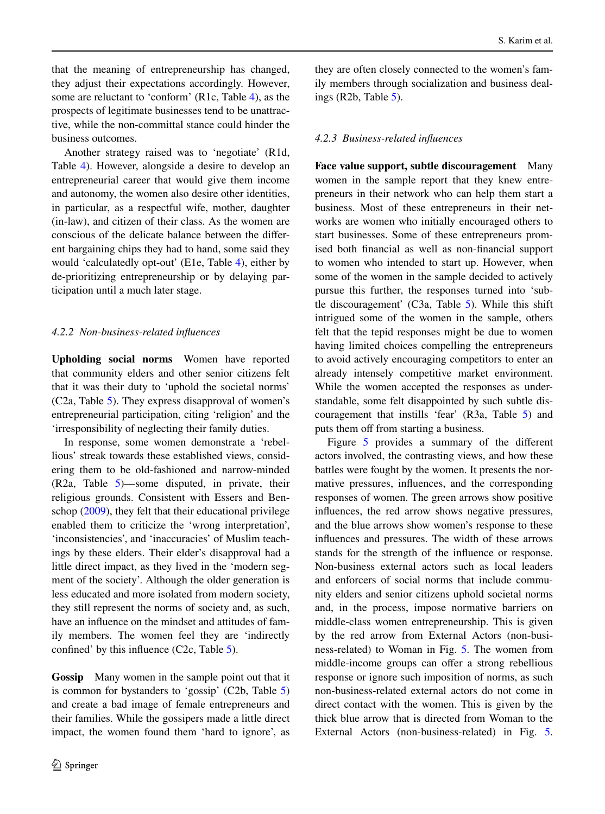that the meaning of entrepreneurship has changed, they adjust their expectations accordingly. However, some are reluctant to 'conform' (R1c, Table [4\)](#page-12-0), as the prospects of legitimate businesses tend to be unattractive, while the non-committal stance could hinder the business outcomes.

Another strategy raised was to 'negotiate' (R1d, Table [4\)](#page-12-0). However, alongside a desire to develop an entrepreneurial career that would give them income and autonomy, the women also desire other identities, in particular, as a respectful wife, mother, daughter (in-law), and citizen of their class. As the women are conscious of the delicate balance between the diferent bargaining chips they had to hand, some said they would 'calculatedly opt-out' (E1e, Table [4\)](#page-12-0), either by de-prioritizing entrepreneurship or by delaying participation until a much later stage.

## *4.2.2 Non-business-related infuences*

**Upholding social norms** Women have reported that community elders and other senior citizens felt that it was their duty to 'uphold the societal norms' (C2a, Table [5\)](#page-14-0). They express disapproval of women's entrepreneurial participation, citing 'religion' and the 'irresponsibility of neglecting their family duties.

In response, some women demonstrate a 'rebellious' streak towards these established views, considering them to be old-fashioned and narrow-minded (R2a, Table [5](#page-14-0))—some disputed, in private, their religious grounds. Consistent with Essers and Benschop ([2009\)](#page-20-21), they felt that their educational privilege enabled them to criticize the 'wrong interpretation', 'inconsistencies', and 'inaccuracies' of Muslim teachings by these elders. Their elder's disapproval had a little direct impact, as they lived in the 'modern segment of the society'. Although the older generation is less educated and more isolated from modern society, they still represent the norms of society and, as such, have an infuence on the mindset and attitudes of family members. The women feel they are 'indirectly confned' by this infuence (C2c, Table [5\)](#page-14-0).

**Gossip** Many women in the sample point out that it is common for bystanders to 'gossip' (C2b, Table [5\)](#page-14-0) and create a bad image of female entrepreneurs and their families. While the gossipers made a little direct impact, the women found them 'hard to ignore', as

they are often closely connected to the women's family members through socialization and business dealings (R2b, Table [5\)](#page-14-0).

# *4.2.3 Business-related infuences*

**Face value support, subtle discouragement** Many women in the sample report that they knew entrepreneurs in their network who can help them start a business. Most of these entrepreneurs in their networks are women who initially encouraged others to start businesses. Some of these entrepreneurs promised both fnancial as well as non-fnancial support to women who intended to start up. However, when some of the women in the sample decided to actively pursue this further, the responses turned into 'subtle discouragement' (C3a, Table [5\)](#page-14-0). While this shift intrigued some of the women in the sample, others felt that the tepid responses might be due to women having limited choices compelling the entrepreneurs to avoid actively encouraging competitors to enter an already intensely competitive market environment. While the women accepted the responses as understandable, some felt disappointed by such subtle discouragement that instills 'fear' (R3a, Table [5\)](#page-14-0) and puts them off from starting a business.

Figure [5](#page-15-1) provides a summary of the different actors involved, the contrasting views, and how these battles were fought by the women. It presents the normative pressures, infuences, and the corresponding responses of women. The green arrows show positive infuences, the red arrow shows negative pressures, and the blue arrows show women's response to these infuences and pressures. The width of these arrows stands for the strength of the infuence or response. Non-business external actors such as local leaders and enforcers of social norms that include community elders and senior citizens uphold societal norms and, in the process, impose normative barriers on middle-class women entrepreneurship. This is given by the red arrow from External Actors (non-business-related) to Woman in Fig. [5](#page-15-1). The women from middle-income groups can offer a strong rebellious response or ignore such imposition of norms, as such non-business-related external actors do not come in direct contact with the women. This is given by the thick blue arrow that is directed from Woman to the External Actors (non-business-related) in Fig. [5.](#page-15-1)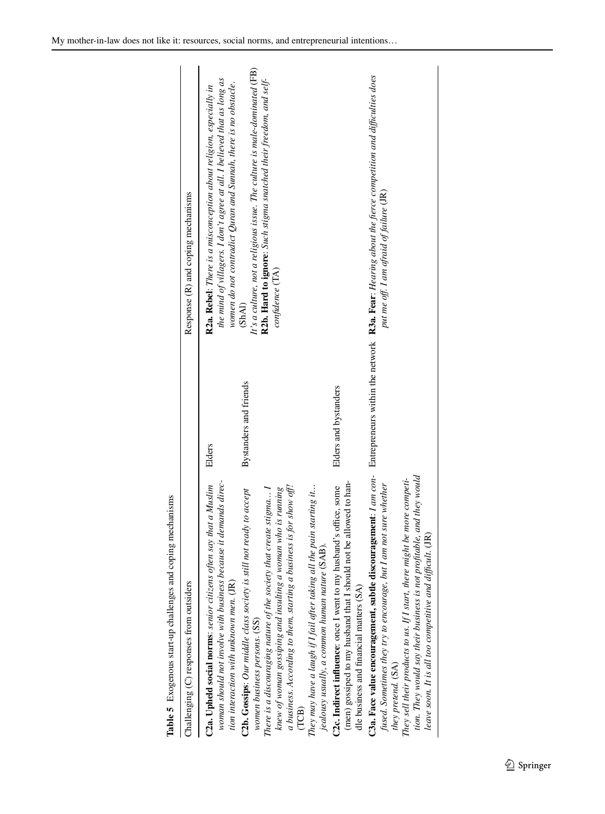| Table 5 Exogenous start-up challenges and coping mechanisms                                                                                                                                                                                                         |                        |                                                                                                                                                                                                                  |
|---------------------------------------------------------------------------------------------------------------------------------------------------------------------------------------------------------------------------------------------------------------------|------------------------|------------------------------------------------------------------------------------------------------------------------------------------------------------------------------------------------------------------|
| Challenging $(C)$ responses from outsiders                                                                                                                                                                                                                          |                        | Response (R) and coping mechanisms                                                                                                                                                                               |
| woman should not involve with business because it demands direc-<br>C2a. Upheld social norms: senior citizens often say that a Muslim<br>tion interaction with unknown men. (JR)                                                                                    | Elders                 | the mind of villagers. I don't agree at all. I believed that as long as<br>women do not contradict Quran and Sunnah, there is no obstacle.<br>R2a. Rebel: There is a misconception about religion, especially in |
| C2b. Gossips: Our middle class society is still not ready to accept<br>women business persons. (SS)                                                                                                                                                                 | Bystanders and friends | It's a culture, not a religious issue. The culture is male-dominated (FB)<br>(ShAI)                                                                                                                              |
| knew of woman gossiping and insulting a woman who is running<br>There is a discouraging nature of the society that create stigma I                                                                                                                                  |                        | R2b. Hard to ignore: Such stigma snatched their freedom, and self-<br>confidence (TA)                                                                                                                            |
| a business. According to them, starting a business is for show off!<br>TCB)                                                                                                                                                                                         |                        |                                                                                                                                                                                                                  |
| They may have a laugh if I fail after taking all the pain starting it<br>jealousy usually, a common human nature (SAB).                                                                                                                                             |                        |                                                                                                                                                                                                                  |
| (men) gossiped to my husband that I should not be allowed to han-<br>C2c. Indirect influence: once I went to my husband's office, some<br>dle business and financial matters (SA)                                                                                   | Elders and bystanders  |                                                                                                                                                                                                                  |
| C3a. Face value encouragement, subtle discouragement: $1$ am con- Entrepreneurs within the network R3a. Fear: Hearing about the fierce competition and difficulties does<br>fused. Sometimes they try to encourage, but I am not sure whether<br>they pretend. (SA) |                        | put me off. I am afraid of failure (JR)                                                                                                                                                                          |
| tion. They would say their business is not profitable, and they would<br>They sell their products to us. If I start, there might be more competi-<br>leave soon. It is all too competitive and difficult. (JR)                                                      |                        |                                                                                                                                                                                                                  |

<span id="page-14-0"></span>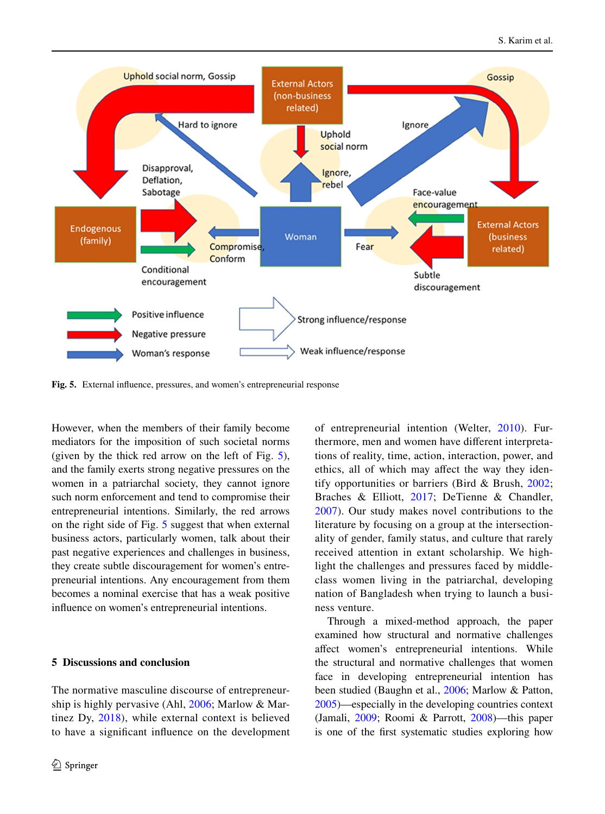

<span id="page-15-1"></span>**Fig. 5.** External infuence, pressures, and women's entrepreneurial response

However, when the members of their family become mediators for the imposition of such societal norms (given by the thick red arrow on the left of Fig. [5](#page-15-1)), and the family exerts strong negative pressures on the women in a patriarchal society, they cannot ignore such norm enforcement and tend to compromise their entrepreneurial intentions. Similarly, the red arrows on the right side of Fig. [5](#page-15-1) suggest that when external business actors, particularly women, talk about their past negative experiences and challenges in business, they create subtle discouragement for women's entrepreneurial intentions. Any encouragement from them becomes a nominal exercise that has a weak positive infuence on women's entrepreneurial intentions.

# <span id="page-15-0"></span>**5 Discussions and conclusion**

The normative masculine discourse of entrepreneurship is highly pervasive (Ahl, [2006](#page-18-1); Marlow & Martinez Dy, [2018\)](#page-21-5), while external context is believed to have a signifcant infuence on the development of entrepreneurial intention (Welter, [2010\)](#page-22-18). Furthermore, men and women have diferent interpretations of reality, time, action, interaction, power, and ethics, all of which may afect the way they identify opportunities or barriers (Bird & Brush, [2002;](#page-19-21) Braches & Elliott, [2017;](#page-19-6) DeTienne & Chandler, [2007](#page-20-22)). Our study makes novel contributions to the literature by focusing on a group at the intersectionality of gender, family status, and culture that rarely received attention in extant scholarship. We highlight the challenges and pressures faced by middleclass women living in the patriarchal, developing nation of Bangladesh when trying to launch a business venture.

Through a mixed-method approach, the paper examined how structural and normative challenges afect women's entrepreneurial intentions. While the structural and normative challenges that women face in developing entrepreneurial intention has been studied (Baughn et al., [2006](#page-19-22); Marlow & Patton, [2005\)](#page-21-3)—especially in the developing countries context (Jamali, [2009](#page-21-26); Roomi & Parrott, [2008\)](#page-22-19)—this paper is one of the frst systematic studies exploring how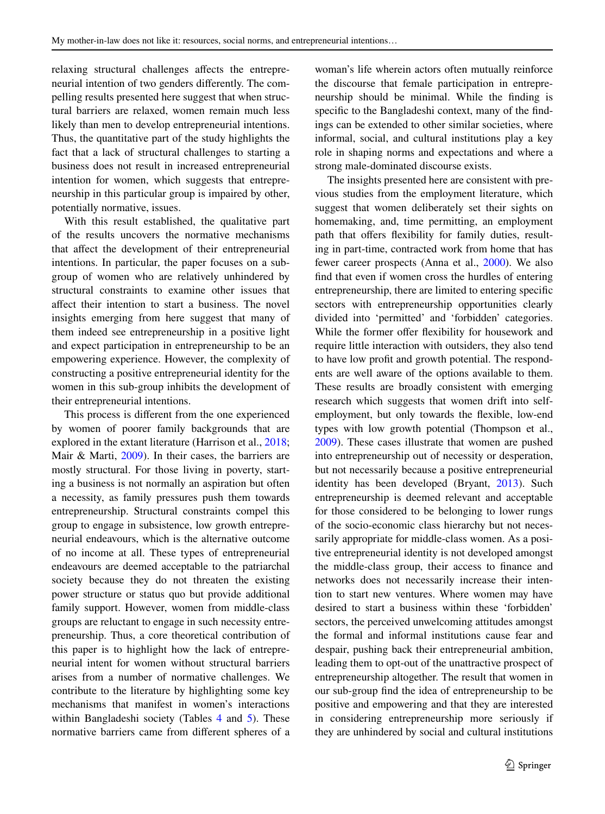relaxing structural challenges afects the entrepreneurial intention of two genders diferently. The compelling results presented here suggest that when structural barriers are relaxed, women remain much less likely than men to develop entrepreneurial intentions. Thus, the quantitative part of the study highlights the fact that a lack of structural challenges to starting a business does not result in increased entrepreneurial intention for women, which suggests that entrepreneurship in this particular group is impaired by other, potentially normative, issues.

With this result established, the qualitative part of the results uncovers the normative mechanisms that afect the development of their entrepreneurial intentions. In particular, the paper focuses on a subgroup of women who are relatively unhindered by structural constraints to examine other issues that afect their intention to start a business. The novel insights emerging from here suggest that many of them indeed see entrepreneurship in a positive light and expect participation in entrepreneurship to be an empowering experience. However, the complexity of constructing a positive entrepreneurial identity for the women in this sub-group inhibits the development of their entrepreneurial intentions.

This process is diferent from the one experienced by women of poorer family backgrounds that are explored in the extant literature (Harrison et al., [2018](#page-20-12); Mair & Marti, [2009](#page-21-9)). In their cases, the barriers are mostly structural. For those living in poverty, starting a business is not normally an aspiration but often a necessity, as family pressures push them towards entrepreneurship. Structural constraints compel this group to engage in subsistence, low growth entrepreneurial endeavours, which is the alternative outcome of no income at all. These types of entrepreneurial endeavours are deemed acceptable to the patriarchal society because they do not threaten the existing power structure or status quo but provide additional family support. However, women from middle-class groups are reluctant to engage in such necessity entrepreneurship. Thus, a core theoretical contribution of this paper is to highlight how the lack of entrepreneurial intent for women without structural barriers arises from a number of normative challenges. We contribute to the literature by highlighting some key mechanisms that manifest in women's interactions within Bangladeshi society (Tables  $4$  and  $5$ ). These normative barriers came from diferent spheres of a

woman's life wherein actors often mutually reinforce the discourse that female participation in entrepreneurship should be minimal. While the fnding is specifc to the Bangladeshi context, many of the fndings can be extended to other similar societies, where informal, social, and cultural institutions play a key role in shaping norms and expectations and where a strong male-dominated discourse exists.

The insights presented here are consistent with previous studies from the employment literature, which suggest that women deliberately set their sights on homemaking, and, time permitting, an employment path that offers flexibility for family duties, resulting in part-time, contracted work from home that has fewer career prospects (Anna et al., [2000](#page-19-23)). We also fnd that even if women cross the hurdles of entering entrepreneurship, there are limited to entering specifc sectors with entrepreneurship opportunities clearly divided into 'permitted' and 'forbidden' categories. While the former offer flexibility for housework and require little interaction with outsiders, they also tend to have low proft and growth potential. The respondents are well aware of the options available to them. These results are broadly consistent with emerging research which suggests that women drift into selfemployment, but only towards the fexible, low-end types with low growth potential (Thompson et al., [2009\)](#page-22-20). These cases illustrate that women are pushed into entrepreneurship out of necessity or desperation, but not necessarily because a positive entrepreneurial identity has been developed (Bryant, [2013](#page-19-24)). Such entrepreneurship is deemed relevant and acceptable for those considered to be belonging to lower rungs of the socio-economic class hierarchy but not necessarily appropriate for middle-class women. As a positive entrepreneurial identity is not developed amongst the middle-class group, their access to fnance and networks does not necessarily increase their intention to start new ventures. Where women may have desired to start a business within these 'forbidden' sectors, the perceived unwelcoming attitudes amongst the formal and informal institutions cause fear and despair, pushing back their entrepreneurial ambition, leading them to opt-out of the unattractive prospect of entrepreneurship altogether. The result that women in our sub-group fnd the idea of entrepreneurship to be positive and empowering and that they are interested in considering entrepreneurship more seriously if they are unhindered by social and cultural institutions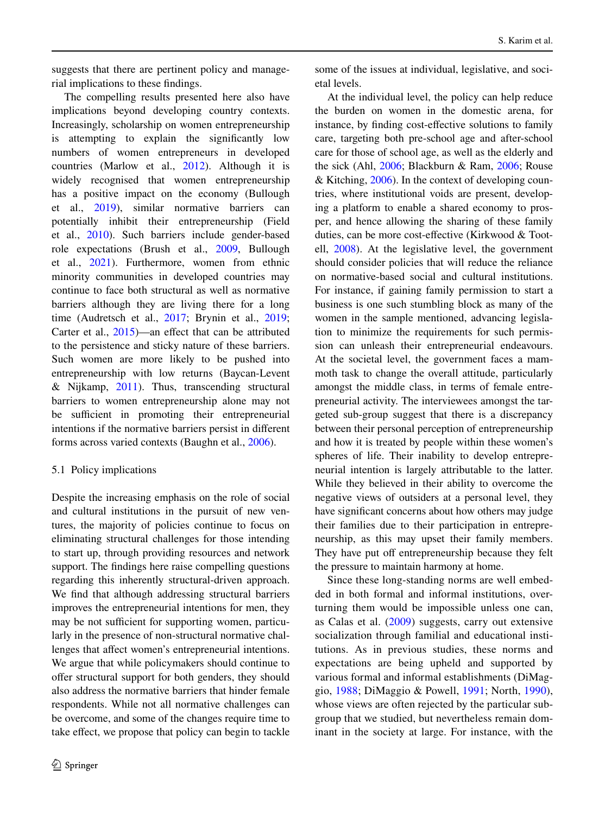suggests that there are pertinent policy and managerial implications to these fndings.

The compelling results presented here also have implications beyond developing country contexts. Increasingly, scholarship on women entrepreneurship is attempting to explain the signifcantly low numbers of women entrepreneurs in developed countries (Marlow et al., [2012](#page-21-27)). Although it is widely recognised that women entrepreneurship has a positive impact on the economy (Bullough et al., [2019](#page-19-25)), similar normative barriers can potentially inhibit their entrepreneurship (Field et al., [2010](#page-20-9)). Such barriers include gender-based role expectations (Brush et al., [2009](#page-19-5), Bullough et al., [2021\)](#page-19-26). Furthermore, women from ethnic minority communities in developed countries may continue to face both structural as well as normative barriers although they are living there for a long time (Audretsch et al.,  $2017$ ; Brynin et al.,  $2019$ ; Carter et al., [2015](#page-20-23))—an effect that can be attributed to the persistence and sticky nature of these barriers. Such women are more likely to be pushed into entrepreneurship with low returns (Baycan-Levent & Nijkamp,  $2011$ ). Thus, transcending structural barriers to women entrepreneurship alone may not be sufficient in promoting their entrepreneurial intentions if the normative barriers persist in diferent forms across varied contexts (Baughn et al., [2006](#page-19-22)).

### 5.1 Policy implications

Despite the increasing emphasis on the role of social and cultural institutions in the pursuit of new ventures, the majority of policies continue to focus on eliminating structural challenges for those intending to start up, through providing resources and network support. The fndings here raise compelling questions regarding this inherently structural-driven approach. We fnd that although addressing structural barriers improves the entrepreneurial intentions for men, they may be not sufficient for supporting women, particularly in the presence of non-structural normative challenges that affect women's entrepreneurial intentions. We argue that while policymakers should continue to offer structural support for both genders, they should also address the normative barriers that hinder female respondents. While not all normative challenges can be overcome, and some of the changes require time to take effect, we propose that policy can begin to tackle

some of the issues at individual, legislative, and societal levels.

At the individual level, the policy can help reduce the burden on women in the domestic arena, for instance, by fnding cost-efective solutions to family care, targeting both pre-school age and after-school care for those of school age, as well as the elderly and the sick (Ahl, [2006](#page-18-1); Blackburn & Ram, [2006;](#page-19-29) Rouse & Kitching, [2006\)](#page-22-21). In the context of developing countries, where institutional voids are present, developing a platform to enable a shared economy to prosper, and hence allowing the sharing of these family duties, can be more cost-efective (Kirkwood & Tootell, [2008](#page-21-28)). At the legislative level, the government should consider policies that will reduce the reliance on normative-based social and cultural institutions. For instance, if gaining family permission to start a business is one such stumbling block as many of the women in the sample mentioned, advancing legislation to minimize the requirements for such permission can unleash their entrepreneurial endeavours. At the societal level, the government faces a mammoth task to change the overall attitude, particularly amongst the middle class, in terms of female entrepreneurial activity. The interviewees amongst the targeted sub-group suggest that there is a discrepancy between their personal perception of entrepreneurship and how it is treated by people within these women's spheres of life. Their inability to develop entrepreneurial intention is largely attributable to the latter. While they believed in their ability to overcome the negative views of outsiders at a personal level, they have signifcant concerns about how others may judge their families due to their participation in entrepreneurship, as this may upset their family members. They have put off entrepreneurship because they felt the pressure to maintain harmony at home.

Since these long-standing norms are well embedded in both formal and informal institutions, overturning them would be impossible unless one can, as Calas et al. ([2009](#page-19-2)) suggests, carry out extensive socialization through familial and educational institutions. As in previous studies, these norms and expectations are being upheld and supported by various formal and informal establishments (DiMaggio, [1988;](#page-20-24) DiMaggio & Powell, [1991;](#page-20-25) North, [1990](#page-22-22)), whose views are often rejected by the particular subgroup that we studied, but nevertheless remain dominant in the society at large. For instance, with the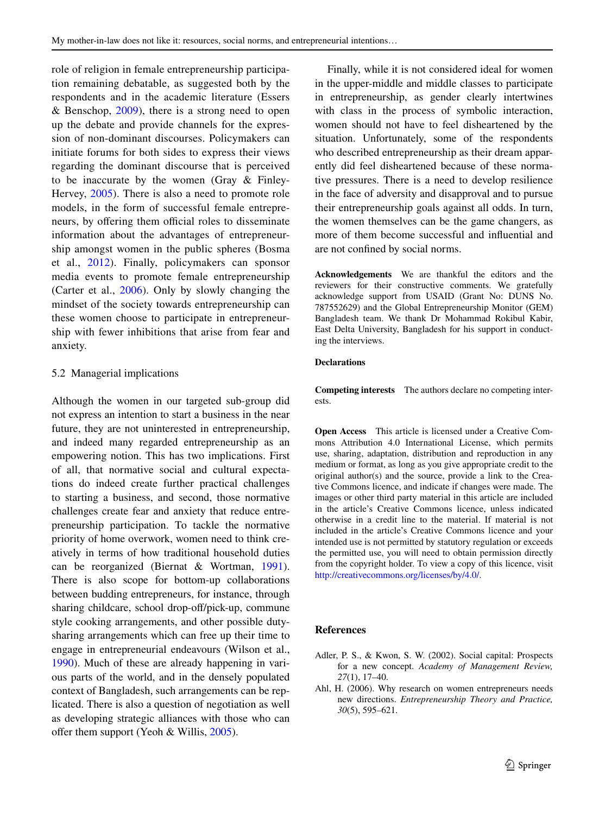role of religion in female entrepreneurship participation remaining debatable, as suggested both by the respondents and in the academic literature (Essers & Benschop, [2009](#page-20-21)), there is a strong need to open up the debate and provide channels for the expression of non-dominant discourses. Policymakers can initiate forums for both sides to express their views regarding the dominant discourse that is perceived to be inaccurate by the women (Gray & Finley-Hervey, [2005](#page-20-26)). There is also a need to promote role models, in the form of successful female entrepreneurs, by offering them official roles to disseminate information about the advantages of entrepreneurship amongst women in the public spheres (Bosma et al., [2012\)](#page-19-30). Finally, policymakers can sponsor media events to promote female entrepreneurship (Carter et al., [2006\)](#page-19-31). Only by slowly changing the mindset of the society towards entrepreneurship can these women choose to participate in entrepreneurship with fewer inhibitions that arise from fear and anxiety.

#### 5.2 Managerial implications

Although the women in our targeted sub-group did not express an intention to start a business in the near future, they are not uninterested in entrepreneurship, and indeed many regarded entrepreneurship as an empowering notion. This has two implications. First of all, that normative social and cultural expectations do indeed create further practical challenges to starting a business, and second, those normative challenges create fear and anxiety that reduce entrepreneurship participation. To tackle the normative priority of home overwork, women need to think creatively in terms of how traditional household duties can be reorganized (Biernat & Wortman, [1991](#page-19-32)). There is also scope for bottom-up collaborations between budding entrepreneurs, for instance, through sharing childcare, school drop-off/pick-up, commune style cooking arrangements, and other possible dutysharing arrangements which can free up their time to engage in entrepreneurial endeavours (Wilson et al., [1990\)](#page-22-23). Much of these are already happening in various parts of the world, and in the densely populated context of Bangladesh, such arrangements can be replicated. There is also a question of negotiation as well as developing strategic alliances with those who can offer them support (Yeoh & Willis,  $2005$ ).

Finally, while it is not considered ideal for women in the upper-middle and middle classes to participate in entrepreneurship, as gender clearly intertwines with class in the process of symbolic interaction, women should not have to feel disheartened by the situation. Unfortunately, some of the respondents who described entrepreneurship as their dream apparently did feel disheartened because of these normative pressures. There is a need to develop resilience in the face of adversity and disapproval and to pursue their entrepreneurship goals against all odds. In turn, the women themselves can be the game changers, as more of them become successful and infuential and are not confned by social norms.

**Acknowledgements** We are thankful the editors and the reviewers for their constructive comments. We gratefully acknowledge support from USAID (Grant No: DUNS No. 787552629) and the Global Entrepreneurship Monitor (GEM) Bangladesh team. We thank Dr Mohammad Rokibul Kabir, East Delta University, Bangladesh for his support in conducting the interviews.

#### **Declarations**

**Competing interests** The authors declare no competing interests.

**Open Access** This article is licensed under a Creative Commons Attribution 4.0 International License, which permits use, sharing, adaptation, distribution and reproduction in any medium or format, as long as you give appropriate credit to the original author(s) and the source, provide a link to the Creative Commons licence, and indicate if changes were made. The images or other third party material in this article are included in the article's Creative Commons licence, unless indicated otherwise in a credit line to the material. If material is not included in the article's Creative Commons licence and your intended use is not permitted by statutory regulation or exceeds the permitted use, you will need to obtain permission directly from the copyright holder. To view a copy of this licence, visit [http://creativecommons.org/licenses/by/4.0/.](http://creativecommons.org/licenses/by/4.0/)

## **References**

- <span id="page-18-0"></span>Adler, P. S., & Kwon, S. W. (2002). Social capital: Prospects for a new concept. *Academy of Management Review, 27*(1), 17–40.
- <span id="page-18-1"></span>Ahl, H. (2006). Why research on women entrepreneurs needs new directions. *Entrepreneurship Theory and Practice, 30*(5), 595–621.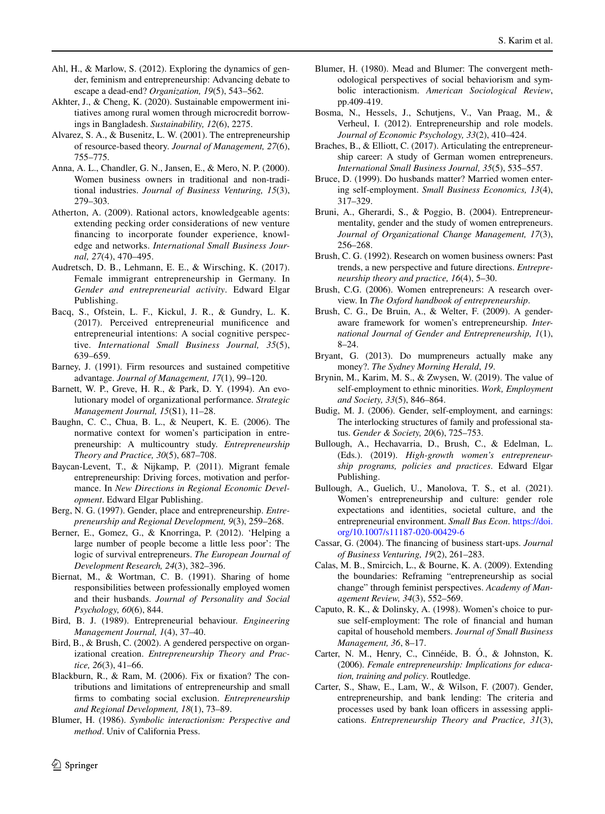- <span id="page-19-3"></span>Ahl, H., & Marlow, S. (2012). Exploring the dynamics of gender, feminism and entrepreneurship: Advancing debate to escape a dead-end? *Organization, 19*(5), 543–562.
- <span id="page-19-15"></span>Akhter, J., & Cheng, K. (2020). Sustainable empowerment initiatives among rural women through microcredit borrowings in Bangladesh. *Sustainability, 12*(6), 2275.
- <span id="page-19-7"></span>Alvarez, S. A., & Busenitz, L. W. (2001). The entrepreneurship of resource-based theory. *Journal of Management, 27*(6), 755–775.
- <span id="page-19-23"></span>Anna, A. L., Chandler, G. N., Jansen, E., & Mero, N. P. (2000). Women business owners in traditional and non-traditional industries. *Journal of Business Venturing, 15*(3), 279–303.
- <span id="page-19-10"></span>Atherton, A. (2009). Rational actors, knowledgeable agents: extending pecking order considerations of new venture fnancing to incorporate founder experience, knowledge and networks. *International Small Business Journal, 27*(4), 470–495.
- <span id="page-19-27"></span>Audretsch, D. B., Lehmann, E. E., & Wirsching, K. (2017). Female immigrant entrepreneurship in Germany. In *Gender and entrepreneurial activity*. Edward Elgar Publishing.
- <span id="page-19-12"></span>Bacq, S., Ofstein, L. F., Kickul, J. R., & Gundry, L. K. (2017). Perceived entrepreneurial munifcence and entrepreneurial intentions: A social cognitive perspective. *International Small Business Journal, 35*(5), 639–659.
- <span id="page-19-9"></span>Barney, J. (1991). Firm resources and sustained competitive advantage. *Journal of Management, 17*(1), 99–120.
- <span id="page-19-8"></span>Barnett, W. P., Greve, H. R., & Park, D. Y. (1994). An evolutionary model of organizational performance. *Strategic Management Journal, 15*(S1), 11–28.
- <span id="page-19-22"></span>Baughn, C. C., Chua, B. L., & Neupert, K. E. (2006). The normative context for women's participation in entrepreneurship: A multicountry study. *Entrepreneurship Theory and Practice, 30*(5), 687–708.
- <span id="page-19-28"></span>Baycan-Levent, T., & Nijkamp, P. (2011). Migrant female entrepreneurship: Driving forces, motivation and performance. In *New Directions in Regional Economic Development*. Edward Elgar Publishing.
- <span id="page-19-4"></span>Berg, N. G. (1997). Gender, place and entrepreneurship. *Entrepreneurship and Regional Development, 9*(3), 259–268.
- Berner, E., Gomez, G., & Knorringa, P. (2012). 'Helping a large number of people become a little less poor': The logic of survival entrepreneurs. *The European Journal of Development Research, 24*(3), 382–396.
- <span id="page-19-32"></span>Biernat, M., & Wortman, C. B. (1991). Sharing of home responsibilities between professionally employed women and their husbands. *Journal of Personality and Social Psychology, 60*(6), 844.
- <span id="page-19-17"></span>Bird, B. J. (1989). Entrepreneurial behaviour. *Engineering Management Journal, 1*(4), 37–40.
- <span id="page-19-21"></span>Bird, B., & Brush, C. (2002). A gendered perspective on organizational creation. *Entrepreneurship Theory and Practice, 26*(3), 41–66.
- <span id="page-19-29"></span>Blackburn, R., & Ram, M. (2006). Fix or fxation? The contributions and limitations of entrepreneurship and small frms to combating social exclusion. *Entrepreneurship and Regional Development, 18*(1), 73–89.
- <span id="page-19-18"></span>Blumer, H. (1986). *Symbolic interactionism: Perspective and method*. Univ of California Press.
- <span id="page-19-19"></span>Blumer, H. (1980). Mead and Blumer: The convergent methodological perspectives of social behaviorism and symbolic interactionism. *American Sociological Review*, pp.409-419.
- <span id="page-19-30"></span>Bosma, N., Hessels, J., Schutjens, V., Van Praag, M., & Verheul, I. (2012). Entrepreneurship and role models. *Journal of Economic Psychology, 33*(2), 410–424.
- <span id="page-19-6"></span>Braches, B., & Elliott, C. (2017). Articulating the entrepreneurship career: A study of German women entrepreneurs. *International Small Business Journal, 35*(5), 535–557.
- <span id="page-19-16"></span>Bruce, D. (1999). Do husbands matter? Married women entering self-employment. *Small Business Economics, 13*(4), 317–329.
- <span id="page-19-20"></span>Bruni, A., Gherardi, S., & Poggio, B. (2004). Entrepreneurmentality, gender and the study of women entrepreneurs. *Journal of Organizational Change Management, 17*(3), 256–268.
- <span id="page-19-0"></span>Brush, C. G. (1992). Research on women business owners: Past trends, a new perspective and future directions. *Entrepreneurship theory and practice, 16*(4), 5–30.
- <span id="page-19-1"></span>Brush, C.G. (2006). Women entrepreneurs: A research overview. In *The Oxford handbook of entrepreneurship*.
- <span id="page-19-5"></span>Brush, C. G., De Bruin, A., & Welter, F. (2009). A genderaware framework for women's entrepreneurship. *International Journal of Gender and Entrepreneurship, 1*(1), 8–24.
- <span id="page-19-24"></span>Bryant, G. (2013). Do mumpreneurs actually make any money?. *The Sydney Morning Herald*, *19*.
- <span id="page-19-14"></span>Brynin, M., Karim, M. S., & Zwysen, W. (2019). The value of self-employment to ethnic minorities. *Work, Employment and Society, 33*(5), 846–864.
- Budig, M. J. (2006). Gender, self-employment, and earnings: The interlocking structures of family and professional status. *Gender & Society, 20*(6), 725–753.
- <span id="page-19-25"></span>Bullough, A., Hechavarria, D., Brush, C., & Edelman, L. (Eds.). (2019). *High-growth women's entrepreneurship programs, policies and practices*. Edward Elgar Publishing.
- <span id="page-19-26"></span>Bullough, A., Guelich, U., Manolova, T. S., et al. (2021). Women's entrepreneurship and culture: gender role expectations and identities, societal culture, and the entrepreneurial environment. *Small Bus Econ*. [https://doi.](https://doi.org/10.1007/s11187-020-00429-6) [org/10.1007/s11187-020-00429-6](https://doi.org/10.1007/s11187-020-00429-6)
- <span id="page-19-11"></span>Cassar, G. (2004). The fnancing of business start-ups. *Journal of Business Venturing, 19*(2), 261–283.
- <span id="page-19-2"></span>Calas, M. B., Smircich, L., & Bourne, K. A. (2009). Extending the boundaries: Reframing "entrepreneurship as social change" through feminist perspectives. *Academy of Management Review, 34*(3), 552–569.
- <span id="page-19-13"></span>Caputo, R. K., & Dolinsky, A. (1998). Women's choice to pursue self-employment: The role of fnancial and human capital of household members. *Journal of Small Business Management, 36*, 8–17.
- <span id="page-19-31"></span>Carter, N. M., Henry, C., Cinnéide, B. Ó., & Johnston, K. (2006). *Female entrepreneurship: Implications for education, training and policy*. Routledge.
- Carter, S., Shaw, E., Lam, W., & Wilson, F. (2007). Gender, entrepreneurship, and bank lending: The criteria and processes used by bank loan officers in assessing applications. *Entrepreneurship Theory and Practice, 31*(3),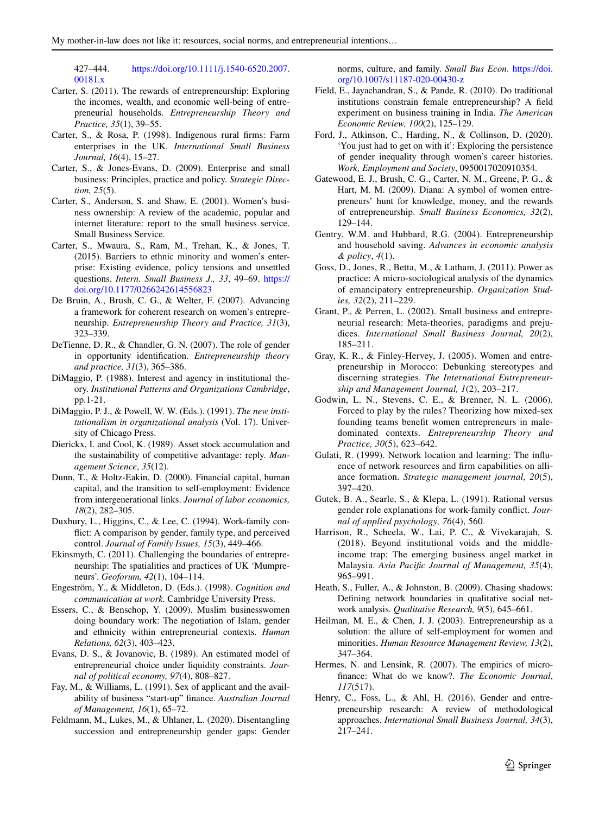427–444. [https://doi.org/10.1111/j.1540-6520.2007.](https://doi.org/10.1111/j.1540-6520.2007.00181.x) [00181.x](https://doi.org/10.1111/j.1540-6520.2007.00181.x)

- Carter, S. (2011). The rewards of entrepreneurship: Exploring the incomes, wealth, and economic well-being of entrepreneurial households. *Entrepreneurship Theory and Practice, 35*(1), 39–55.
- <span id="page-20-2"></span>Carter, S., & Rosa, P. (1998). Indigenous rural frms: Farm enterprises in the UK. *International Small Business Journal, 16*(4), 15–27.
- <span id="page-20-10"></span>Carter, S., & Jones-Evans, D. (2009). Enterprise and small business: Principles, practice and policy. *Strategic Direction, 25*(5).
- <span id="page-20-0"></span>Carter, S., Anderson, S. and Shaw, E. (2001). Women's business ownership: A review of the academic, popular and internet literature: report to the small business service. Small Business Service.
- <span id="page-20-23"></span>Carter, S., Mwaura, S., Ram, M., Trehan, K., & Jones, T. (2015). Barriers to ethnic minority and women's enterprise: Existing evidence, policy tensions and unsettled questions. *Intern. Small Business J., 33*, 49–69. [https://](https://doi.org/10.1177/0266242614556823) [doi.org/10.1177/0266242614556823](https://doi.org/10.1177/0266242614556823)
- <span id="page-20-1"></span>De Bruin, A., Brush, C. G., & Welter, F. (2007). Advancing a framework for coherent research on women's entrepreneurship. *Entrepreneurship Theory and Practice, 31*(3), 323–339.
- <span id="page-20-22"></span>DeTienne, D. R., & Chandler, G. N. (2007). The role of gender in opportunity identifcation. *Entrepreneurship theory and practice, 31*(3), 365–386.
- <span id="page-20-24"></span>DiMaggio, P. (1988). Interest and agency in institutional theory. *Institutional Patterns and Organizations Cambridge*, pp.1-21.
- <span id="page-20-25"></span>DiMaggio, P. J., & Powell, W. W. (Eds.). (1991). *The new institutionalism in organizational analysis* (Vol. 17). University of Chicago Press.
- <span id="page-20-6"></span>Dierickx, I. and Cool, K. (1989). Asset stock accumulation and the sustainability of competitive advantage: reply. *Management Science*, *35*(12).
- Dunn, T., & Holtz-Eakin, D. (2000). Financial capital, human capital, and the transition to self-employment: Evidence from intergenerational links. *Journal of labor economics, 18*(2), 282–305.
- <span id="page-20-17"></span>Duxbury, L., Higgins, C., & Lee, C. (1994). Work-family confict: A comparison by gender, family type, and perceived control. *Journal of Family Issues, 15*(3), 449–466.
- <span id="page-20-8"></span>Ekinsmyth, C. (2011). Challenging the boundaries of entrepreneurship: The spatialities and practices of UK 'Mumpreneurs'. *Geoforum, 42*(1), 104–114.
- <span id="page-20-15"></span>Engeström, Y., & Middleton, D. (Eds.). (1998). *Cognition and communication at work*. Cambridge University Press.
- <span id="page-20-21"></span>Essers, C., & Benschop, Y. (2009). Muslim businesswomen doing boundary work: The negotiation of Islam, gender and ethnicity within entrepreneurial contexts. *Human Relations, 62*(3), 403–423.
- Evans, D. S., & Jovanovic, B. (1989). An estimated model of entrepreneurial choice under liquidity constraints. *Journal of political economy, 97*(4), 808–827.
- <span id="page-20-13"></span>Fay, M., & Williams, L. (1991). Sex of applicant and the availability of business "start-up" fnance. *Australian Journal of Management, 16*(1), 65–72.
- Feldmann, M., Lukes, M., & Uhlaner, L. (2020). Disentangling succession and entrepreneurship gender gaps: Gender

norms, culture, and family. *Small Bus Econ*. [https://doi.](https://doi.org/10.1007/s11187-020-00430-z) [org/10.1007/s11187-020-00430-z](https://doi.org/10.1007/s11187-020-00430-z)

- <span id="page-20-9"></span>Field, E., Jayachandran, S., & Pande, R. (2010). Do traditional institutions constrain female entrepreneurship? A feld experiment on business training in India. *The American Economic Review, 100*(2), 125–129.
- <span id="page-20-4"></span>Ford, J., Atkinson, C., Harding, N., & Collinson, D. (2020). 'You just had to get on with it': Exploring the persistence of gender inequality through women's career histories. *Work, Employment and Society*, 0950017020910354.
- Gatewood, E. J., Brush, C. G., Carter, N. M., Greene, P. G., & Hart, M. M. (2009). Diana: A symbol of women entrepreneurs' hunt for knowledge, money, and the rewards of entrepreneurship. *Small Business Economics, 32*(2), 129–144.
- Gentry, W.M. and Hubbard, R.G. (2004). Entrepreneurship and household saving. *Advances in economic analysis & policy*, *4*(1).
- <span id="page-20-18"></span>Goss, D., Jones, R., Betta, M., & Latham, J. (2011). Power as practice: A micro-sociological analysis of the dynamics of emancipatory entrepreneurship. *Organization Studies, 32*(2), 211–229.
- <span id="page-20-3"></span>Grant, P., & Perren, L. (2002). Small business and entrepreneurial research: Meta-theories, paradigms and prejudices. *International Small Business Journal, 20*(2), 185–211.
- <span id="page-20-26"></span>Gray, K. R., & Finley-Hervey, J. (2005). Women and entrepreneurship in Morocco: Debunking stereotypes and discerning strategies. *The International Entrepreneurship and Management Journal, 1*(2), 203–217.
- <span id="page-20-11"></span>Godwin, L. N., Stevens, C. E., & Brenner, N. L. (2006). Forced to play by the rules? Theorizing how mixed-sex founding teams beneft women entrepreneurs in maledominated contexts. *Entrepreneurship Theory and Practice, 30*(5), 623–642.
- <span id="page-20-7"></span>Gulati, R. (1999). Network location and learning: The infuence of network resources and frm capabilities on alliance formation. *Strategic management journal, 20*(5), 397–420.
- <span id="page-20-16"></span>Gutek, B. A., Searle, S., & Klepa, L. (1991). Rational versus gender role explanations for work-family confict. *Journal of applied psychology, 76*(4), 560.
- <span id="page-20-12"></span>Harrison, R., Scheela, W., Lai, P. C., & Vivekarajah, S. (2018). Beyond institutional voids and the middleincome trap: The emerging business angel market in Malaysia. *Asia Pacifc Journal of Management, 35*(4), 965–991.
- <span id="page-20-20"></span>Heath, S., Fuller, A., & Johnston, B. (2009). Chasing shadows: Defning network boundaries in qualitative social network analysis. *Qualitative Research, 9*(5), 645–661.
- <span id="page-20-19"></span>Heilman, M. E., & Chen, J. J. (2003). Entrepreneurship as a solution: the allure of self-employment for women and minorities. *Human Resource Management Review, 13*(2), 347–364.
- <span id="page-20-14"></span>Hermes, N. and Lensink, R. (2007). The empirics of microfnance: What do we know?. *The Economic Journal*, *117*(517).
- <span id="page-20-5"></span>Henry, C., Foss, L., & Ahl, H. (2016). Gender and entrepreneurship research: A review of methodological approaches. *International Small Business Journal, 34*(3), 217–241.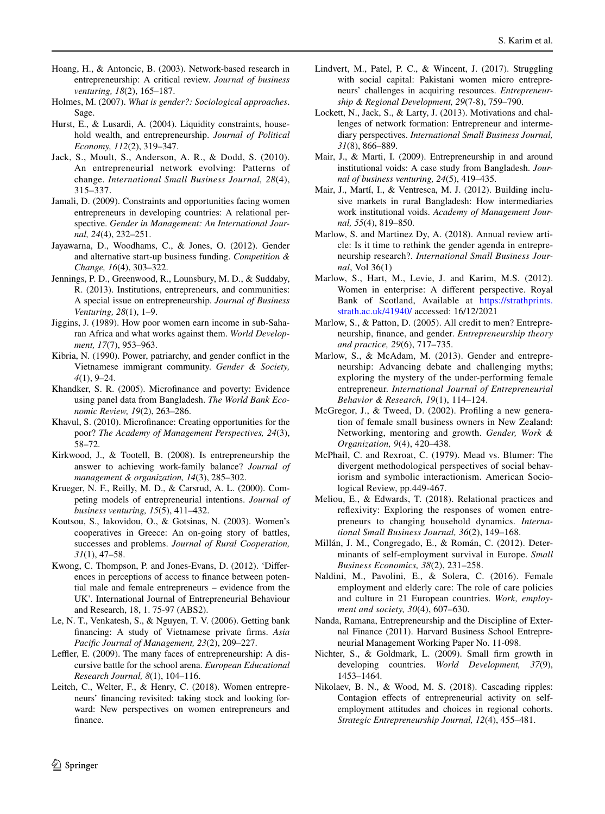- <span id="page-21-7"></span>Hoang, H., & Antoncic, B. (2003). Network-based research in entrepreneurship: A critical review. *Journal of business venturing, 18*(2), 165–187.
- Holmes, M. (2007). *What is gender?: Sociological approaches*. Sage.
- Hurst, E., & Lusardi, A. (2004). Liquidity constraints, household wealth, and entrepreneurship. *Journal of Political Economy, 112*(2), 319–347.
- <span id="page-21-15"></span>Jack, S., Moult, S., Anderson, A. R., & Dodd, S. (2010). An entrepreneurial network evolving: Patterns of change. *International Small Business Journal, 28*(4), 315–337.
- <span id="page-21-26"></span>Jamali, D. (2009). Constraints and opportunities facing women entrepreneurs in developing countries: A relational perspective. *Gender in Management: An International Journal, 24*(4), 232–251.
- <span id="page-21-12"></span>Jayawarna, D., Woodhams, C., & Jones, O. (2012). Gender and alternative start-up business funding. *Competition & Change, 16*(4), 303–322.
- <span id="page-21-0"></span>Jennings, P. D., Greenwood, R., Lounsbury, M. D., & Suddaby, R. (2013). Institutions, entrepreneurs, and communities: A special issue on entrepreneurship. *Journal of Business Venturing, 28*(1), 1–9.
- Jiggins, J. (1989). How poor women earn income in sub-Saharan Africa and what works against them. *World Development, 17*(7), 953–963.
- <span id="page-21-22"></span>Kibria, N. (1990). Power, patriarchy, and gender confict in the Vietnamese immigrant community. *Gender & Society, 4*(1), 9–24.
- <span id="page-21-13"></span>Khandker, S. R. (2005). Microfnance and poverty: Evidence using panel data from Bangladesh. *The World Bank Economic Review, 19*(2), 263–286.
- <span id="page-21-14"></span>Khavul, S. (2010). Microfnance: Creating opportunities for the poor? *The Academy of Management Perspectives, 24*(3), 58–72.
- <span id="page-21-28"></span>Kirkwood, J., & Tootell, B. (2008). Is entrepreneurship the answer to achieving work-family balance? *Journal of management & organization, 14*(3), 285–302.
- <span id="page-21-20"></span>Krueger, N. F., Reilly, M. D., & Carsrud, A. L. (2000). Competing models of entrepreneurial intentions. *Journal of business venturing, 15*(5), 411–432.
- <span id="page-21-24"></span>Koutsou, S., Iakovidou, O., & Gotsinas, N. (2003). Women's cooperatives in Greece: An on-going story of battles, successes and problems. *Journal of Rural Cooperation, 31*(1), 47–58.
- <span id="page-21-11"></span>Kwong, C. Thompson, P. and Jones-Evans, D. (2012). 'Diferences in perceptions of access to fnance between potential male and female entrepreneurs – evidence from the UK'. International Journal of Entrepreneurial Behaviour and Research, 18, 1. 75-97 (ABS2).
- <span id="page-21-10"></span>Le, N. T., Venkatesh, S., & Nguyen, T. V. (2006). Getting bank fnancing: A study of Vietnamese private frms. *Asia Pacifc Journal of Management, 23*(2), 209–227.
- <span id="page-21-25"></span>Leffler, E. (2009). The many faces of entrepreneurship: A discursive battle for the school arena. *European Educational Research Journal, 8*(1), 104–116.
- <span id="page-21-2"></span>Leitch, C., Welter, F., & Henry, C. (2018). Women entrepreneurs' fnancing revisited: taking stock and looking forward: New perspectives on women entrepreneurs and fnance.
- <span id="page-21-1"></span>Lindvert, M., Patel, P. C., & Wincent, J. (2017). Struggling with social capital: Pakistani women micro entrepreneurs' challenges in acquiring resources. *Entrepreneurship & Regional Development, 29*(7-8), 759–790.
- <span id="page-21-16"></span>Lockett, N., Jack, S., & Larty, J. (2013). Motivations and challenges of network formation: Entrepreneur and intermediary perspectives. *International Small Business Journal, 31*(8), 866–889.
- <span id="page-21-9"></span>Mair, J., & Marti, I. (2009). Entrepreneurship in and around institutional voids: A case study from Bangladesh. *Journal of business venturing, 24*(5), 419–435.
- Mair, J., Martí, I., & Ventresca, M. J. (2012). Building inclusive markets in rural Bangladesh: How intermediaries work institutional voids. *Academy of Management Journal, 55*(4), 819–850.
- <span id="page-21-5"></span>Marlow, S. and Martinez Dy, A. (2018). Annual review article: Is it time to rethink the gender agenda in entrepreneurship research?. *International Small Business Journal*, Vol 36(1)
- <span id="page-21-27"></span>Marlow, S., Hart, M., Levie, J. and Karim, M.S. (2012). Women in enterprise: A diferent perspective. Royal Bank of Scotland, Available at [https://strathprints.](https://strathprints.strath.ac.uk/41940/) [strath.ac.uk/41940/](https://strathprints.strath.ac.uk/41940/) accessed: 16/12/2021
- <span id="page-21-3"></span>Marlow, S., & Patton, D. (2005). All credit to men? Entrepreneurship, fnance, and gender. *Entrepreneurship theory and practice, 29*(6), 717–735.
- <span id="page-21-23"></span>Marlow, S., & McAdam, M. (2013). Gender and entrepreneurship: Advancing debate and challenging myths; exploring the mystery of the under-performing female entrepreneur. *International Journal of Entrepreneurial Behavior & Research, 19*(1), 114–124.
- <span id="page-21-17"></span>McGregor, J., & Tweed, D. (2002). Profling a new generation of female small business owners in New Zealand: Networking, mentoring and growth. *Gender, Work & Organization, 9*(4), 420–438.
- <span id="page-21-21"></span>McPhail, C. and Rexroat, C. (1979). Mead vs. Blumer: The divergent methodological perspectives of social behaviorism and symbolic interactionism. American Sociological Review, pp.449-467.
- <span id="page-21-6"></span>Meliou, E., & Edwards, T. (2018). Relational practices and refexivity: Exploring the responses of women entrepreneurs to changing household dynamics. *International Small Business Journal, 36*(2), 149–168.
- <span id="page-21-18"></span>Millán, J. M., Congregado, E., & Román, C. (2012). Determinants of self-employment survival in Europe. *Small Business Economics, 38*(2), 231–258.
- <span id="page-21-4"></span>Naldini, M., Pavolini, E., & Solera, C. (2016). Female employment and elderly care: The role of care policies and culture in 21 European countries. *Work, employment and society, 30*(4), 607–630.
- Nanda, Ramana, Entrepreneurship and the Discipline of External Finance (2011). Harvard Business School Entrepreneurial Management Working Paper No. 11-098.
- <span id="page-21-8"></span>Nichter, S., & Goldmark, L. (2009). Small frm growth in developing countries. *World Development, 37*(9), 1453–1464.
- <span id="page-21-19"></span>Nikolaev, B. N., & Wood, M. S. (2018). Cascading ripples: Contagion effects of entrepreneurial activity on selfemployment attitudes and choices in regional cohorts. *Strategic Entrepreneurship Journal, 12*(4), 455–481.